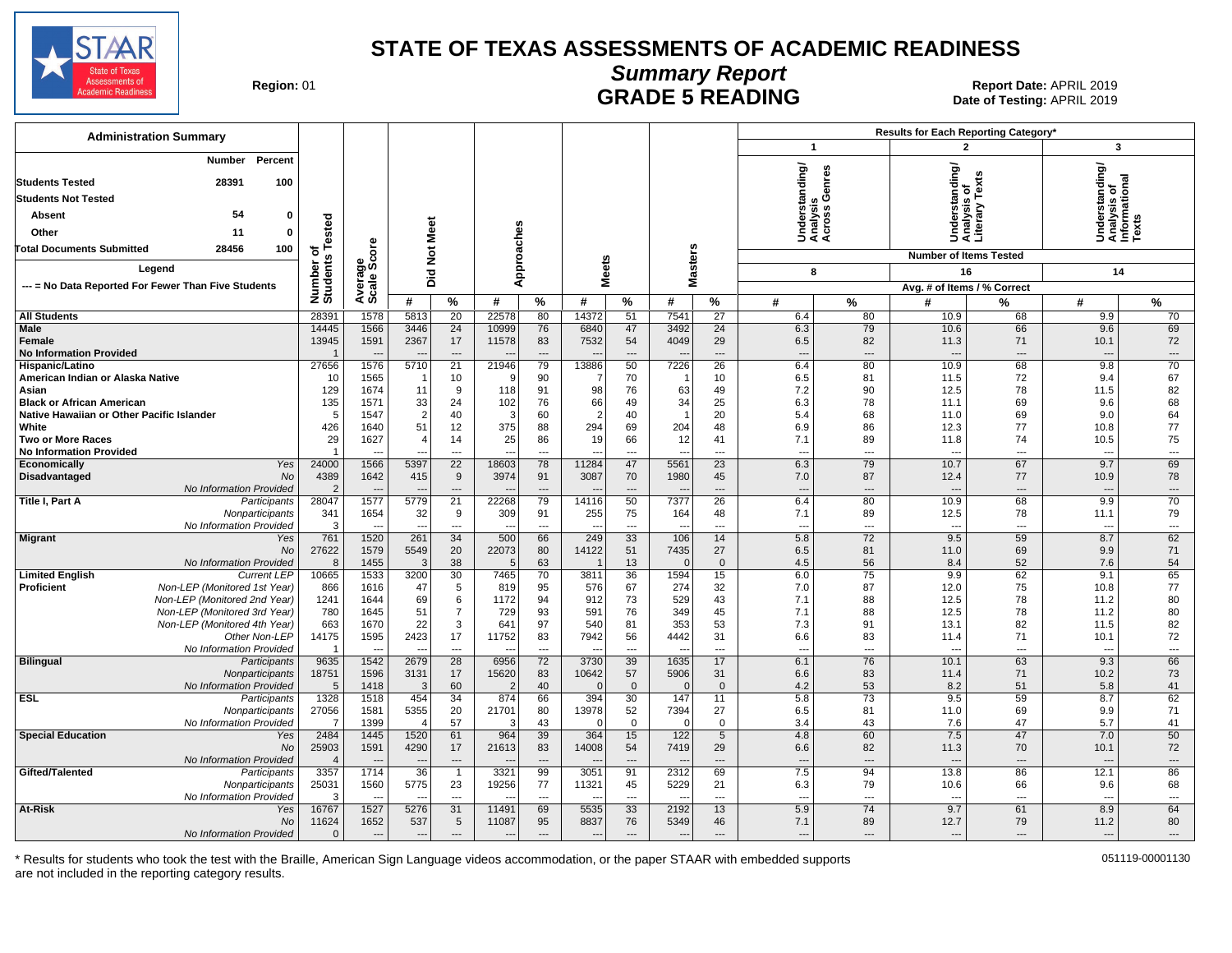

### **Summary Report** Region: 01 **Region: 01 CONTRIGGLARGE 5 READING Report Date: APRIL 2019**<br>Date of Testing: APRIL 2019

Date of Testing: APRIL 2019

| <b>Administration Summary</b>                                |                              |                                  |                          |                                |                                   |                                |                         |                    |                                  |                      |                                          | Results for Each Reporting Category'<br>3<br>$\overline{2}$ |                                                 |                          |                                                         |                |  |
|--------------------------------------------------------------|------------------------------|----------------------------------|--------------------------|--------------------------------|-----------------------------------|--------------------------------|-------------------------|--------------------|----------------------------------|----------------------|------------------------------------------|-------------------------------------------------------------|-------------------------------------------------|--------------------------|---------------------------------------------------------|----------------|--|
|                                                              |                              |                                  |                          |                                |                                   |                                |                         |                    |                                  |                      | $\mathbf 1$                              |                                                             |                                                 |                          |                                                         |                |  |
| Number<br>Percent                                            |                              |                                  |                          |                                |                                   |                                |                         |                    |                                  |                      | nderstanding/<br>nalysis<br>;ross Genres |                                                             | Understanding/<br>Analysis of<br>Literary Texts |                          | Understanding/<br>Analysis of<br>Informational<br>Texts |                |  |
| 28391<br><b>Students Tested</b><br>100                       |                              |                                  |                          |                                |                                   |                                |                         |                    |                                  |                      |                                          |                                                             |                                                 |                          |                                                         |                |  |
| <b>Students Not Tested</b>                                   |                              |                                  |                          |                                |                                   |                                |                         |                    |                                  |                      |                                          |                                                             |                                                 |                          |                                                         |                |  |
| 54<br>$\mathbf 0$<br>Absent                                  |                              |                                  |                          |                                |                                   |                                |                         |                    |                                  |                      |                                          |                                                             |                                                 |                          |                                                         |                |  |
| Other<br>11<br>$\mathbf{0}$                                  |                              |                                  |                          |                                |                                   |                                |                         |                    |                                  |                      | šää                                      |                                                             |                                                 |                          |                                                         |                |  |
| 28456<br>100<br><b>Total Documents Submitted</b>             | Number of<br>Students Tested | Average<br>Scale Score           | Not Meet                 |                                | Approaches                        |                                |                         |                    |                                  |                      |                                          |                                                             |                                                 |                          |                                                         |                |  |
| Legend                                                       |                              |                                  |                          |                                |                                   |                                | <b>Meets</b>            |                    | <b>Masters</b>                   |                      |                                          |                                                             | <b>Number of Items Tested</b>                   |                          |                                                         |                |  |
|                                                              |                              |                                  | Did                      |                                |                                   |                                |                         |                    |                                  |                      | 8                                        |                                                             | 16                                              |                          | 14                                                      |                |  |
| --- = No Data Reported For Fewer Than Five Students          |                              |                                  | #                        |                                | #                                 |                                | #                       |                    | #                                |                      |                                          |                                                             | Avg. # of Items / % Correct                     |                          |                                                         |                |  |
| <b>All Students</b>                                          | 28391                        | 1578                             | 5813                     | $\%$<br>20                     | 22578                             | %<br>80                        | 14372                   | %<br>51            | 7541                             | %<br>27              | #<br>6.4                                 | $\%$<br>80                                                  | #<br>10.9                                       | %<br>68                  | #<br>9.9                                                | $\%$<br>70     |  |
| Male                                                         | 14445                        | 1566                             | 3446                     | 24                             | 10999                             | 76                             | 6840                    | 47                 | 3492                             | 24                   | 6.3                                      | 79                                                          | 10.6                                            | 66                       | 9.6                                                     | 69             |  |
| Female                                                       | 13945                        | 1591                             | 2367                     | 17                             | 11578                             | 83                             | 7532                    | 54                 | 4049                             | 29                   | 6.5                                      | 82                                                          | 11.3                                            | 71                       | 10.1                                                    | 72             |  |
| <b>No Information Provided</b>                               | $\overline{1}$               |                                  |                          | $\sim$                         |                                   | $---$                          |                         | $---$              | $\overline{\phantom{a}}$         | $\overline{a}$       | $\overline{a}$                           | $\overline{a}$                                              | $---$                                           | $\overline{\phantom{a}}$ | $\overline{a}$                                          | $\overline{a}$ |  |
| Hispanic/Latino                                              | 27656                        | 1576                             | 5710                     | $\overline{21}$                | 21946                             | 79                             | 13886                   | 50                 | 7226                             | 26                   | 6.4                                      | 80                                                          | 10.9                                            | 68                       | 9.8                                                     | 70             |  |
| American Indian or Alaska Native<br>Asian                    | 10<br>129                    | 1565<br>1674                     | 11                       | 10<br>9                        | ŗ<br>118                          | 90<br>91                       | 98                      | 70<br>76           | 63                               | 10<br>49             | 6.5<br>7.2                               | 81<br>90                                                    | 11.5<br>12.5                                    | 72<br>78                 | 9.4<br>11.5                                             | 67<br>82       |  |
| <b>Black or African American</b>                             | 135                          | 1571                             | 33                       | 24                             | 102                               | 76                             | 66                      | 49                 | 34                               | 25                   | 6.3                                      | 78                                                          | 11.1                                            | 69                       | 9.6                                                     | 68             |  |
| Native Hawaiian or Other Pacific Islander                    | 5                            | 1547                             | $\overline{2}$           | 40                             | -3                                | 60                             | $\overline{2}$          | 40                 | $\overline{1}$                   | 20                   | 5.4                                      | 68                                                          | 11.0                                            | 69                       | 9.0                                                     | 64             |  |
| White                                                        | 426                          | 1640                             | 51                       | 12                             | 375                               | 88                             | 294                     | 69                 | 204                              | 48                   | 6.9                                      | 86                                                          | 12.3                                            | 77                       | 10.8                                                    | 77             |  |
| <b>Two or More Races</b>                                     | 29                           | 1627                             | $\overline{4}$           | 14                             | 25                                | 86                             | 19                      | 66                 | 12                               | 41                   | 7.1                                      | 89                                                          | 11.8                                            | 74                       | 10.5                                                    | 75             |  |
| <b>No Information Provided</b><br>Economically<br>Yes        | 24000                        | $\overline{\phantom{a}}$<br>1566 | ---<br>5397              | $---$<br>$\overline{22}$       | $\overline{\phantom{a}}$<br>18603 | $\sim$<br>78                   | $\overline{a}$<br>11284 | $---$<br>47        | $\overline{a}$<br>5561           | $\overline{a}$<br>23 | $\overline{a}$<br>6.3                    | $-$<br>79                                                   | $\overline{a}$<br>10.7                          | $---$<br>67              | $-$<br>9.7                                              | ---<br>69      |  |
| <b>Disadvantaged</b><br>No                                   | 4389                         | 1642                             | 415                      | 9                              | 3974                              | 91                             | 3087                    | 70                 | 1980                             | 45                   | 7.0                                      | 87                                                          | 12.4                                            | 77                       | 10.9                                                    | 78             |  |
| No Information Provided                                      | $\overline{2}$               |                                  |                          | $\overline{\phantom{a}}$       |                                   | $\overline{\phantom{a}}$       |                         | ---                | $\overline{\phantom{a}}$         | ---                  | $\hspace{1.5cm} \textbf{---}$            | $\overline{\phantom{a}}$                                    |                                                 | ---                      | $\overline{\phantom{a}}$                                | ---            |  |
| Title I, Part A<br>Participants                              | 28047                        | 1577                             | 5779                     | 21                             | 22268                             | 79                             | 14116                   | 50                 | 7377                             | 26                   | 6.4                                      | 80                                                          | 10.9                                            | 68                       | 9.9                                                     | 70             |  |
| Nonparticipants                                              | 341                          | 1654                             | 32                       | 9                              | 309                               | 91                             | 255                     | 75                 | 164                              | 48                   | 7.1                                      | 89                                                          | 12.5                                            | 78                       | 11.1                                                    | 79             |  |
| No Information Provided<br><b>Migrant</b><br>Yes             | 3<br>761                     | $\overline{a}$<br>1520           | $\overline{a}$<br>261    | $\overline{\phantom{a}}$<br>34 | $\overline{a}$<br>500             | $\overline{\phantom{a}}$<br>66 | $\overline{a}$<br>249   | $\sim$<br>33       | $\overline{a}$<br>106            | $\overline{a}$<br>14 | $\overline{a}$<br>5.8                    | $\overline{\phantom{a}}$<br>72                              | $\overline{a}$<br>9.5                           | $---$<br>59              | $-$<br>8.7                                              | ---<br>62      |  |
| No                                                           | 27622                        | 1579                             | 5549                     | 20                             | 22073                             | 80                             | 14122                   | 51                 | 7435                             | 27                   | 6.5                                      | 81                                                          | 11.0                                            | 69                       | 9.9                                                     | 71             |  |
| No Information Provided                                      | 8                            | 1455                             | 3                        | 38                             | F                                 | 63                             |                         | 13                 | $\Omega$                         | $\mathbf 0$          | 4.5                                      | 56                                                          | 8.4                                             | 52                       | 7.6                                                     | 54             |  |
| <b>Limited English</b><br><b>Current LEP</b>                 | 10665                        | 1533                             | 3200                     | 30                             | 7465                              | 70                             | 3811                    | 36                 | 1594                             | 15                   | 6.0                                      | 75                                                          | 9.9                                             | 62                       | 9.1                                                     | 65             |  |
| <b>Proficient</b><br>Non-LEP (Monitored 1st Year)            | 866                          | 1616                             | 47                       | 5                              | 819                               | 95                             | 576                     | 67                 | 274                              | 32                   | 7.0                                      | 87                                                          | 12.0                                            | 75                       | 10.8                                                    | 77             |  |
| Non-LEP (Monitored 2nd Year)<br>Non-LEP (Monitored 3rd Year) | 1241<br>780                  | 1644<br>1645                     | 69<br>51                 | 6<br>$\overline{7}$            | 1172<br>729                       | 94<br>93                       | 912<br>591              | 73<br>76           | 529<br>349                       | 43<br>45             | 7.1<br>7.1                               | 88<br>88                                                    | 12.5<br>12.5                                    | 78<br>78                 | 11.2<br>11.2                                            | 80<br>80       |  |
| Non-LEP (Monitored 4th Year)                                 | 663                          | 1670                             | 22                       | 3                              | 641                               | 97                             | 540                     | 81                 | 353                              | 53                   | 7.3                                      | 91                                                          | 13.1                                            | 82                       | 11.5                                                    | 82             |  |
| Other Non-LEP                                                | 14175                        | 1595                             | 2423                     | 17                             | 11752                             | 83                             | 7942                    | 56                 | 4442                             | 31                   | 6.6                                      | 83                                                          | 11.4                                            | 71                       | 10.1                                                    | 72             |  |
| No Information Provided                                      | $\overline{\mathbf{1}}$      | $\sim$                           | $\sim$                   | $\sim$                         | $\overline{\phantom{a}}$          | $\overline{\phantom{a}}$       | $\overline{a}$          | $\overline{a}$     | $\overline{a}$                   | $---$                | $\overline{a}$                           | $---$                                                       | $---$                                           | $\overline{\phantom{a}}$ | $-$                                                     | ---            |  |
| <b>Bilingual</b><br>Participants                             | 9635                         | 1542                             | 2679                     | $\overline{28}$                | 6956                              | 72                             | 3730                    | 39                 | 1635                             | 17                   | 6.1                                      | 76                                                          | 10.1                                            | 63                       | 9.3                                                     | 66             |  |
| Nonparticipants<br>No Information Provided                   | 18751<br>5                   | 1596<br>1418                     | 3131<br>3                | 17<br>60                       | 15620<br>$\tilde{\phantom{a}}$    | 83<br>40                       | 10642<br>$\Omega$       | 57<br>$\mathbf{0}$ | 5906<br>$\Omega$                 | 31<br>$\Omega$       | 6.6<br>4.2                               | 83<br>53                                                    | 11.4<br>8.2                                     | 71<br>51                 | 10.2<br>5.8                                             | 73<br>41       |  |
| <b>ESL</b><br>Participants                                   | 1328                         | 1518                             | 454                      | 34                             | 874                               | 66                             | 394                     | 30                 | 147                              | 11                   | 5.8                                      | $\overline{73}$                                             | 9.5                                             | 59                       | 8.7                                                     | 62             |  |
| Nonparticipants                                              | 27056                        | 1581                             | 5355                     | 20                             | 21701                             | 80                             | 13978                   | 52                 | 7394                             | 27                   | 6.5                                      | 81                                                          | 11.0                                            | 69                       | 9.9                                                     | 71             |  |
| No Information Provideo                                      | 7                            | 1399                             | $\overline{4}$           | 57                             | - 3                               | 43                             | $\Omega$                | $\mathbf 0$        | $\Omega$                         | $\mathbf 0$          | 3.4                                      | 43                                                          | 7.6                                             | 47                       | 5.7                                                     | 41             |  |
| <b>Special Education</b><br>Yes                              | 2484                         | 1445                             | 1520                     | 61                             | 964                               | 39                             | 364                     | 15                 | 122                              | $5\overline{)}$      | 4.8                                      | 60                                                          | 7.5                                             | 47                       | 7.0                                                     | 50             |  |
| No<br>No Information Provided                                | 25903<br>$\overline{4}$      | 1591<br>$\sim$                   | 4290<br>$---$            | 17<br>$---$                    | 21613<br>$\overline{\phantom{a}}$ | 83<br>$---$                    | 14008<br>$\overline{a}$ | 54<br>$---$        | 7419<br>$\overline{\phantom{a}}$ | 29<br>$---$          | 6.6<br>$---$                             | 82<br>$---$                                                 | 11.3<br>$\overline{\phantom{a}}$                | 70<br>$---$              | 10.1<br>$\overline{a}$                                  | 72<br>$\cdots$ |  |
| Gifted/Talented<br>Participants                              | 3357                         | 1714                             | $\overline{36}$          | $\mathbf{1}$                   | 3321                              | 99                             | 3051                    | 91                 | 2312                             | 69                   | 7.5                                      | 94                                                          | 13.8                                            | 86                       | 12.1                                                    | 86             |  |
| Nonparticipants                                              | 25031                        | 1560                             | 5775                     | 23                             | 19256                             | 77                             | 11321                   | 45                 | 5229                             | 21                   | 6.3                                      | 79                                                          | 10.6                                            | 66                       | 9.6                                                     | 68             |  |
| No Information Provided                                      | 3                            |                                  |                          | $\overline{a}$                 |                                   | ---                            |                         | ---                |                                  | ---                  | $\overline{\phantom{a}}$                 | ---                                                         |                                                 | $\overline{a}$           |                                                         | ---            |  |
| At-Risk<br>Yes                                               | 16767                        | 1527                             | 5276                     | 31                             | 11491                             | 69                             | 5535                    | 33                 | 2192                             | 13                   | 5.9                                      | 74                                                          | 9.7                                             | 61                       | 8.9                                                     | 64             |  |
| <b>No</b>                                                    | 11624                        | 1652                             | 537                      | 5                              | 11087                             | 95                             | 8837                    | 76                 | 5349                             | 46                   | 7.1                                      | 89                                                          | 12.7                                            | 79                       | 11.2                                                    | 80             |  |
| No Information Provided                                      | $\Omega$                     | $\overline{\phantom{a}}$         | $\overline{\phantom{a}}$ | $---$                          | $\overline{\phantom{a}}$          | $---$                          | $\overline{a}$          | $\overline{a}$     | $\overline{a}$                   | $\overline{a}$       | $\overline{a}$                           | $---$                                                       | $\overline{a}$                                  | ---                      | $---$                                                   | ---            |  |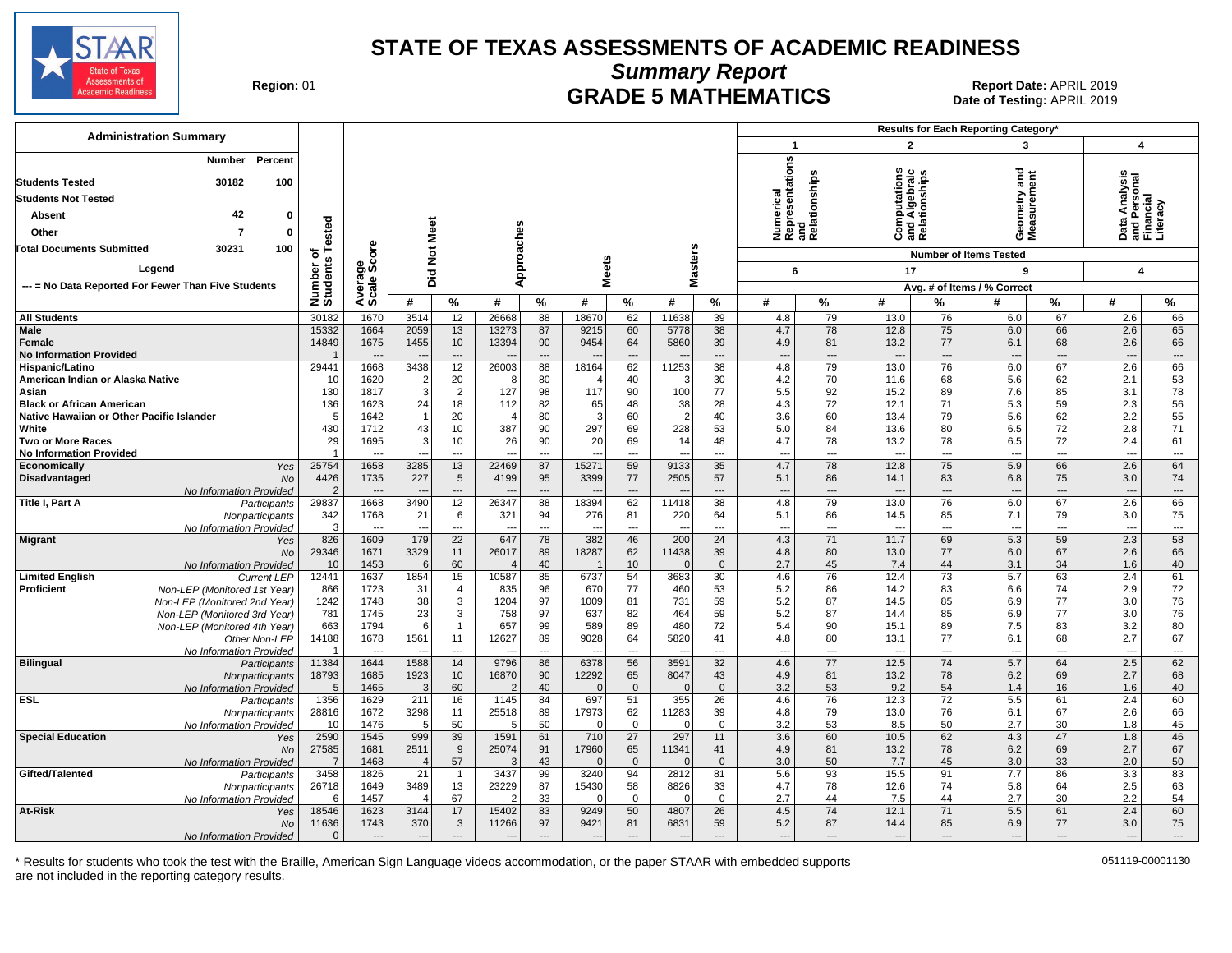

**Summary Report**

Region: 01 **Region: 01 CRADE 5 MATHEMATICS Date of Testing: APRIL 2019 Report Date: APRIL 2019** Date of Testing: APRIL 2019

| <b>Administration Summary</b>                               |                                   |                        |                          |                          |                |                      |              |                |                          |                | Results for Each Reporting Category' |                                |                                  |                                                |                                 |                      |                                                        |                                |
|-------------------------------------------------------------|-----------------------------------|------------------------|--------------------------|--------------------------|----------------|----------------------|--------------|----------------|--------------------------|----------------|--------------------------------------|--------------------------------|----------------------------------|------------------------------------------------|---------------------------------|----------------------|--------------------------------------------------------|--------------------------------|
|                                                             |                                   |                        |                          |                          |                |                      |              |                |                          |                | $\mathbf{1}$                         |                                | $\overline{2}$                   |                                                | 3                               |                      | 4                                                      |                                |
| Percent<br>Number<br><b>Students Tested</b><br>30182<br>100 |                                   |                        |                          |                          |                |                      |              |                |                          |                | Numerical<br>Representations         | and<br>Relationships           |                                  | Computations<br>and Algebraic<br>Relationships | ъ<br>Ĕ                          | ã                    | Data Analysis<br>and Personal<br>Financial<br>Literacy |                                |
| <b>Students Not Tested</b>                                  |                                   |                        |                          |                          |                |                      |              |                |                          |                |                                      |                                |                                  |                                                | metry<br>surem                  |                      |                                                        |                                |
| 42<br>Absent<br>$\Omega$                                    |                                   |                        |                          |                          |                |                      |              |                |                          |                |                                      |                                |                                  |                                                |                                 |                      |                                                        |                                |
| Other<br>$\Omega$<br>7                                      | ested                             |                        |                          |                          |                |                      |              |                |                          |                |                                      |                                |                                  |                                                | ទី ទី<br>ŌΣ                     |                      |                                                        |                                |
| 30231<br>100<br><b>Total Documents Submitted</b>            |                                   | <b>ore</b>             | Not Meet                 |                          | Approaches     |                      |              |                |                          |                |                                      |                                |                                  |                                                |                                 |                      |                                                        |                                |
|                                                             | ৳<br>w                            |                        |                          |                          |                |                      | <b>Meets</b> |                | <b>Masters</b>           |                |                                      |                                |                                  |                                                | <b>Number of Items Tested</b>   |                      |                                                        |                                |
| Legend                                                      |                                   |                        | Ъï                       |                          |                |                      |              |                |                          |                | 6                                    |                                | 17                               |                                                | 9                               |                      | 4                                                      |                                |
| --- = No Data Reported For Fewer Than Five Students         | Number<br>Students                | Average<br>Scale Scc   |                          |                          |                |                      |              |                |                          |                |                                      |                                |                                  |                                                | Avg. # of Items / % Correct     |                      |                                                        |                                |
|                                                             |                                   |                        | #                        | %                        | #              | $\%$                 | #            | $\%$           | #                        | %              | #                                    | %                              | #                                | %                                              | #                               | $\%$                 | #                                                      | %                              |
| <b>All Students</b>                                         | 30182                             | 1670                   | 3514                     | 12                       | 26668          | 88                   | 18670        | 62             | 11638                    | 39             | 4.8                                  | 79                             | 13.0                             | 76                                             | 6.0                             | 67                   | 2.6                                                    | 66                             |
| Male                                                        | 15332                             | 1664                   | 2059                     | 13                       | 13273          | 87                   | 9215         | 60             | 5778                     | 38             | 4.7                                  | 78                             | 12.8                             | 75                                             | 6.0                             | 66                   | 2.6                                                    | 65                             |
| Female<br><b>No Information Provided</b>                    | 14849                             | 1675                   | 1455                     | 10<br>$\overline{a}$     | 13394          | 90<br>$\sim$         | 9454         | 64<br>---      | 5860                     | 39<br>---      | 4.9                                  | 81<br>$\overline{\phantom{a}}$ | 13.2<br>$\overline{\phantom{a}}$ | 77<br>$\overline{a}$                           | 6.1<br>$\overline{\phantom{a}}$ | 68<br>$\overline{a}$ | 2.6<br>$\overline{\phantom{a}}$                        | 66<br>---                      |
| Hispanic/Latino                                             | 29441                             | 1668                   | 3438                     | 12                       | 26003          | 88                   | 18164        | 62             | 11253                    | 38             | 4.8                                  | 79                             | 13.0                             | 76                                             | 6.0                             | 67                   | 2.6                                                    | 66                             |
| American Indian or Alaska Native                            | 10                                | 1620                   | $\overline{2}$           | 20                       | 8              | 80                   |              | 40             | 3                        | 30             | 4.2                                  | 70                             | 11.6                             | 68                                             | 5.6                             | 62                   | 2.1                                                    | 53                             |
| Asian                                                       | 130                               | 1817                   | 3                        | $\overline{2}$           | 127            | 98                   | 117          | 90             | 100                      | 77             | 5.5                                  | 92                             | 15.2                             | 89                                             | 7.6                             | 85                   | 3.1                                                    | 78                             |
| <b>Black or African American</b>                            | 136                               | 1623                   | 24                       | 18                       | 112            | 82                   | 65           | 48             | 38                       | 28             | 4.3                                  | 72                             | 12.1                             | 71                                             | 5.3                             | 59                   | 2.3                                                    | 56                             |
| Native Hawaiian or Other Pacific Islander                   | 5                                 | 1642                   | $\overline{1}$           | 20                       | $\overline{4}$ | 80                   | 3            | 60             | $\overline{2}$           | 40             | 3.6                                  | 60                             | 13.4                             | 79                                             | 5.6                             | 62                   | 2.2                                                    | 55                             |
| White                                                       | 430                               | 1712                   | 43                       | 10                       | 387            | 90                   | 297          | 69             | 228                      | 53             | 5.0                                  | 84                             | 13.6                             | 80                                             | 6.5                             | 72                   | 2.8                                                    | 71                             |
| <b>Two or More Races</b>                                    | 29<br>-1                          | 1695                   | 3                        | 10                       | 26             | 90                   | 20           | 69             | 14                       | 48             | 4.7                                  | 78                             | 13.2                             | 78                                             | 6.5                             | 72                   | 2.4<br>---                                             | 61                             |
| <b>No Information Provided</b><br>Yes<br>Economically       | 25754                             | 1658                   | 3285                     | $\overline{a}$<br>13     | 22469          | $\overline{a}$<br>87 | 15271        | ---<br>59      | 9133                     | ---<br>35      | $\overline{a}$<br>4.7                | ---<br>78                      | $\overline{a}$<br>12.8           | $\overline{a}$<br>75                           | $\overline{a}$<br>5.9           | ---<br>66            | 2.6                                                    | $\hspace{0.05cm} \ldots$<br>64 |
| Disadvantaged<br><b>No</b>                                  | 4426                              | 1735                   | 227                      | $\,$ 5 $\,$              | 4199           | 95                   | 3399         | 77             | 2505                     | 57             | 5.1                                  | 86                             | 14.1                             | 83                                             | 6.8                             | 75                   | 3.0                                                    | 74                             |
| No Information Provided                                     |                                   | $\overline{a}$         |                          | $\overline{a}$           |                | $\overline{a}$       |              | ---            |                          | ---            | $\overline{\phantom{a}}$             | $\overline{a}$                 |                                  | ---                                            | $\overline{\phantom{a}}$        | $\overline{a}$       | $\overline{a}$                                         | $\overline{a}$                 |
| Title I, Part A<br>Participants                             | 29837                             | 1668                   | 3490                     | 12                       | 26347          | 88                   | 18394        | 62             | 11418                    | 38             | 4.8                                  | 79                             | 13.0                             | 76                                             | 6.0                             | 67                   | 2.6                                                    | 66                             |
| Nonparticipants                                             | 342                               | 1768                   | 21                       | 6                        | 321            | 94                   | 276          | 81             | 220                      | 64             | 5.1                                  | 86                             | 14.5                             | 85                                             | 7.1                             | 79                   | 3.0                                                    | 75                             |
| No Information Provided                                     | 3                                 | $\overline{a}$         | $\overline{\phantom{a}}$ | $\overline{\phantom{a}}$ | $\sim$         | $\sim$               | -44          | $\overline{a}$ | $\overline{\phantom{a}}$ | ---            | $\overline{a}$                       | $\sim$                         | $\sim$                           | $\sim$                                         | $\overline{a}$                  | $\overline{a}$       | $\overline{\phantom{a}}$                               | $\overline{\phantom{a}}$       |
| <b>Migrant</b><br>Yes<br>No                                 | 826<br>29346                      | 1609<br>1671           | 179<br>3329              | 22<br>11                 | 647<br>26017   | 78<br>89             | 382<br>18287 | 46<br>62       | 200<br>11438             | 24<br>39       | 4.3<br>4.8                           | 71<br>80                       | 11.7<br>13.0                     | 69<br>77                                       | 5.3<br>6.0                      | 59<br>67             | 2.3<br>2.6                                             | 58<br>66                       |
| No Information Provided                                     | 10                                | 1453                   | 6                        | 60                       |                | 40                   |              | 10             | $\Omega$                 | $\overline{0}$ | 2.7                                  | 45                             | 7.4                              | 44                                             | 3.1                             | 34                   | 1.6                                                    | 40                             |
| <b>Limited English</b><br><b>Current LEP</b>                | 12441                             | 1637                   | 1854                     | 15                       | 10587          | 85                   | 6737         | 54             | 3683                     | 30             | 4.6                                  | 76                             | 12.4                             | $\overline{73}$                                | 5.7                             | 63                   | 2.4                                                    | 61                             |
| Proficient<br>Non-LEP (Monitored 1st Year)                  | 866                               | 1723                   | 31                       | $\overline{4}$           | 835            | 96                   | 670          | 77             | 460                      | 53             | 5.2                                  | 86                             | 14.2                             | 83                                             | 6.6                             | 74                   | 2.9                                                    | $72\,$                         |
| Non-LEP (Monitored 2nd Year)                                | 1242                              | 1748                   | 38                       | 3                        | 1204           | 97                   | 1009         | 81             | 731                      | 59             | 5.2                                  | 87                             | 14.5                             | 85                                             | 6.9                             | 77                   | 3.0                                                    | 76                             |
| Non-LEP (Monitored 3rd Year)                                | 781                               | 1745                   | 23                       | 3                        | 758            | 97                   | 637          | 82             | 464                      | 59             | 5.2                                  | 87                             | 14.4                             | 85                                             | 6.9                             | 77                   | 3.0                                                    | 76                             |
| Non-LEP (Monitored 4th Year)                                | 663                               | 1794                   | 6                        | $\overline{1}$           | 657            | 99                   | 589          | 89             | 480                      | 72             | 5.4                                  | 90                             | 15.1                             | 89                                             | 7.5                             | 83                   | 3.2                                                    | 80                             |
| Other Non-LEP<br>No Information Provided                    | 14188<br>$\overline{\phantom{0}}$ | 1678                   | 1561                     | 11<br>$\overline{a}$     | 12627          | 89<br>---            | 9028         | 64<br>---      | 5820                     | 41<br>---      | 4.8<br>---                           | 80<br>$\overline{a}$           | 13.1<br>$\overline{a}$           | 77<br>$\overline{\phantom{a}}$                 | 6.1<br>$\overline{a}$           | 68<br>$\overline{a}$ | 2.7<br>---                                             | 67<br>$\cdots$                 |
| <b>Bilingual</b><br>Participants                            | 11384                             | 1644                   | 1588                     | 14                       | 9796           | 86                   | 6378         | 56             | 3591                     | 32             | 4.6                                  | 77                             | 12.5                             | 74                                             | 5.7                             | 64                   | 2.5                                                    | 62                             |
| Nonparticipants                                             | 18793                             | 1685                   | 1923                     | 10                       | 16870          | 90                   | 12292        | 65             | 8047                     | 43             | 4.9                                  | 81                             | 13.2                             | 78                                             | 6.2                             | 69                   | 2.7                                                    | 68                             |
| No Information Provided                                     | 5                                 | 1465                   | 3                        | 60                       | $\overline{2}$ | 40                   | $\Omega$     | $\mathbf{0}$   | $\Omega$                 | $\overline{0}$ | 3.2                                  | 53                             | 9.2                              | 54                                             | 1.4                             | 16                   | 1.6                                                    | 40                             |
| <b>ESL</b><br>Participants                                  | 1356                              | 1629                   | 211                      | 16                       | 1145           | 84                   | 697          | 51             | 355                      | 26             | 4.6                                  | 76                             | 12.3                             | 72                                             | 5.5                             | 61                   | 2.4                                                    | 60                             |
| Nonparticipants                                             | 28816                             | 1672                   | 3298                     | 11                       | 25518          | 89                   | 17973        | 62             | 11283                    | 39             | 4.8                                  | 79                             | 13.0                             | 76                                             | 6.1                             | 67                   | 2.6                                                    | 66                             |
| No Information Provided                                     | 10                                | 1476                   | 5                        | 50                       | 5              | 50                   |              | $\Omega$       | $\Omega$                 | $\mathbf 0$    | 3.2                                  | 53                             | 8.5                              | 50<br>62                                       | 2.7                             | 30                   | 1.8                                                    | 45                             |
| <b>Special Education</b><br>Yes<br>No                       | 2590<br>27585                     | 1545<br>1681           | 999<br>2511              | 39<br>9                  | 1591<br>25074  | 61<br>91             | 710<br>17960 | 27<br>65       | 297<br>11341             | 11<br>41       | 3.6<br>4.9                           | 60<br>81                       | 10.5<br>13.2                     | 78                                             | 4.3<br>6.2                      | 47<br>69             | 1.8<br>2.7                                             | 46<br>67                       |
| No Information Provided                                     | $\overline{7}$                    | 1468                   | $\boldsymbol{\Delta}$    | 57                       | 3              | 43                   | ſ            | $\Omega$       | $\Omega$                 | $\overline{0}$ | 3.0                                  | 50                             | 7.7                              | 45                                             | 3.0                             | 33                   | 2.0                                                    | 50                             |
| Gifted/Talented<br>Participants                             | 3458                              | 1826                   | 21                       | $\mathbf{1}$             | 3437           | 99                   | 3240         | 94             | 2812                     | 81             | 5.6                                  | 93                             | 15.5                             | 91                                             | 7.7                             | 86                   | 3.3                                                    | 83                             |
| Nonparticipants                                             | 26718                             | 1649                   | 3489                     | 13                       | 23229          | 87                   | 15430        | 58             | 8826                     | 33             | 4.7                                  | 78                             | 12.6                             | 74                                             | 5.8                             | 64                   | 2.5                                                    | 63                             |
| No Information Provided                                     | 6                                 | 1457                   | $\boldsymbol{\Delta}$    | 67                       | 2              | 33                   | O            | $\Omega$       | $\Omega$                 | $\overline{0}$ | 2.7                                  | 44                             | 7.5                              | 44                                             | 2.7                             | 30                   | 2.2                                                    | 54                             |
| <b>At-Risk</b><br>Yes                                       | 18546                             | 1623                   | 3144                     | 17                       | 15402          | 83                   | 9249         | 50             | 4807                     | 26             | 4.5                                  | 74                             | 12.1                             | 71                                             | 5.5                             | 61                   | 2.4                                                    | 60                             |
| No                                                          | 11636<br>$\Omega$                 | 1743<br>$\overline{a}$ | 370                      | 3<br>$\overline{a}$      | 11266          | 97<br>$\overline{a}$ | 9421         | 81<br>---      | 6831                     | 59<br>---      | 5.2                                  | 87<br>$\overline{a}$           | 14.4<br>$\sim$                   | 85<br>$\overline{a}$                           | 6.9                             | 77<br>$\overline{a}$ | 3.0                                                    | 75<br>$\overline{\phantom{a}}$ |
| No Information Provided                                     |                                   |                        | $\overline{\phantom{a}}$ |                          |                |                      |              |                | $\overline{a}$           |                | $\overline{\phantom{a}}$             |                                |                                  |                                                | $\overline{\phantom{a}}$        |                      | $\overline{a}$                                         |                                |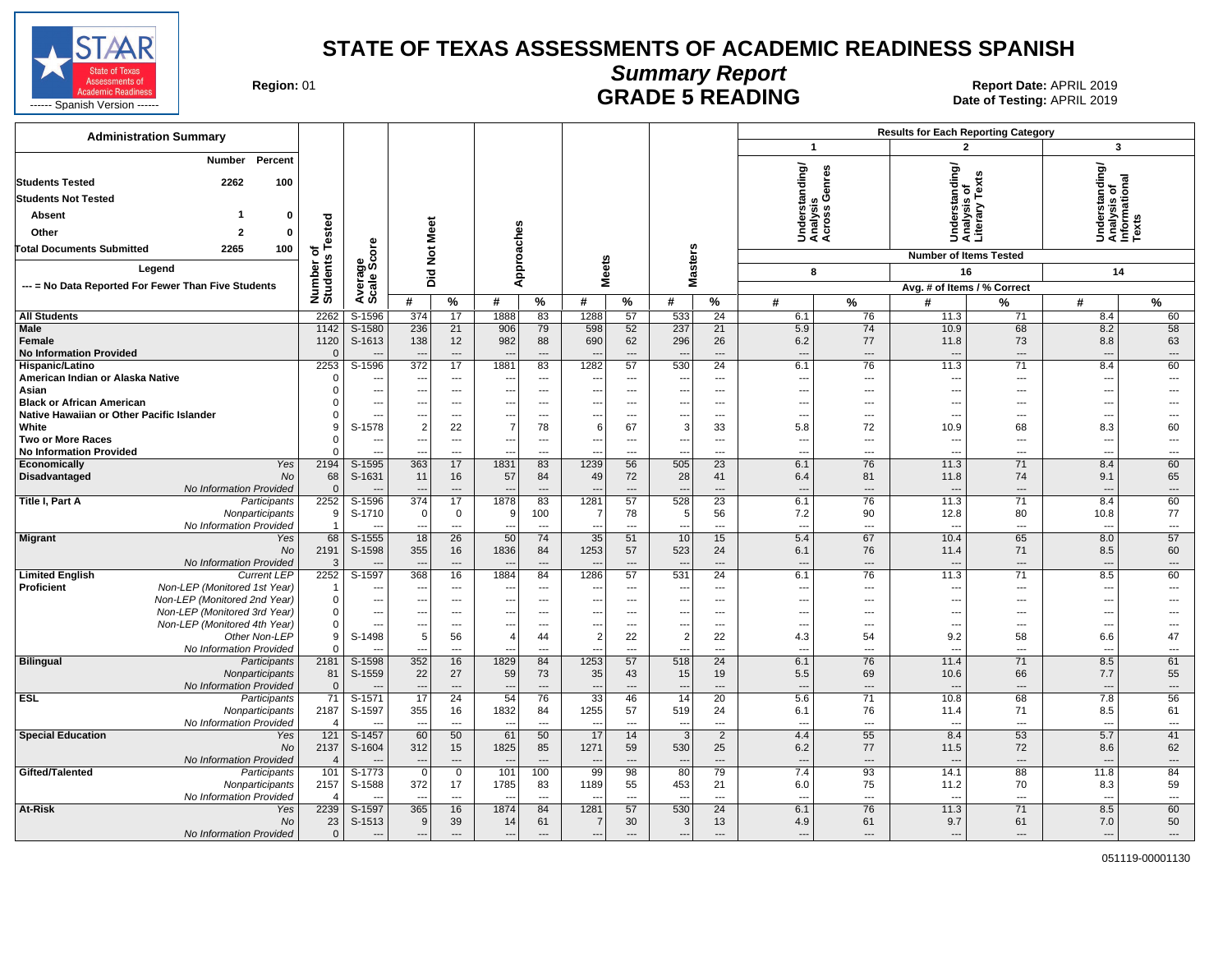

**Summary Report**

Region: 01 **Region: 01 CONTRIGGLARGE 5 READING Report Date: APRIL 2019**<br>Date of Testing: APRIL 2019

| <b>Administration Summary</b>                                                     |                          |                                 |                                                      |                                            |                          |                                 |                |                                   |                                           |                                   |                                                      | <b>Results for Each Reporting Category</b><br>$\overline{\mathbf{3}}$<br>$\overline{2}$ |                                                      |                                      |                                                         |                                |  |
|-----------------------------------------------------------------------------------|--------------------------|---------------------------------|------------------------------------------------------|--------------------------------------------|--------------------------|---------------------------------|----------------|-----------------------------------|-------------------------------------------|-----------------------------------|------------------------------------------------------|-----------------------------------------------------------------------------------------|------------------------------------------------------|--------------------------------------|---------------------------------------------------------|--------------------------------|--|
|                                                                                   |                          |                                 |                                                      |                                            |                          |                                 |                |                                   |                                           |                                   | $\mathbf{1}$                                         |                                                                                         |                                                      |                                      |                                                         |                                |  |
| Percent<br>Number<br><b>Students Tested</b><br>2262<br>100                        |                          |                                 |                                                      |                                            |                          |                                 |                |                                   |                                           |                                   | tanding/                                             | Genres                                                                                  | rstanding/                                           | Analysis of<br>Literary Texts        | Understanding/<br>Analysis of<br>Informational<br>Texts |                                |  |
| <b>Students Not Tested</b>                                                        |                          |                                 |                                                      |                                            |                          |                                 |                |                                   |                                           |                                   |                                                      |                                                                                         |                                                      |                                      |                                                         |                                |  |
| Absent<br>0                                                                       |                          |                                 |                                                      |                                            |                          |                                 |                |                                   |                                           |                                   | Understa<br>Analysis<br>Across G                     |                                                                                         |                                                      |                                      |                                                         |                                |  |
| Other                                                                             | ested                    |                                 | Meet                                                 |                                            |                          |                                 |                |                                   |                                           |                                   |                                                      |                                                                                         | 횽                                                    |                                      |                                                         |                                |  |
| 2265<br><b>Total Documents Submitted</b>                                          |                          | <b>ore</b>                      |                                                      |                                            |                          |                                 |                |                                   |                                           |                                   |                                                      |                                                                                         |                                                      |                                      |                                                         |                                |  |
| 100                                                                               | ځ م<br>م<br>w            |                                 | $\frac{5}{2}$                                        |                                            |                          |                                 |                |                                   |                                           |                                   |                                                      |                                                                                         | <b>Number of Items Tested</b>                        |                                      |                                                         |                                |  |
| Legend                                                                            | Number<br>Students       | Average<br>Scale Scc            | Did                                                  |                                            | Approaches               |                                 | <b>Meets</b>   |                                   | <b>Masters</b>                            |                                   | 8                                                    |                                                                                         | 16                                                   |                                      | 14                                                      |                                |  |
| --- = No Data Reported For Fewer Than Five Students                               |                          |                                 |                                                      |                                            |                          |                                 |                |                                   |                                           |                                   |                                                      |                                                                                         | Avg. # of Items / % Correct                          |                                      |                                                         |                                |  |
|                                                                                   |                          |                                 | #                                                    | %                                          | #                        | %                               | #              | %                                 | #                                         | %                                 | #                                                    | $\%$                                                                                    | #                                                    | %                                    | #                                                       | %                              |  |
| <b>All Students</b>                                                               | 2262                     | S-1596                          | 374                                                  | 17                                         | 1888                     | 83                              | 1288           | 57                                | 533                                       | 24                                | 6.1                                                  | 76                                                                                      | 11.3                                                 | 71                                   | 8.4                                                     | 60                             |  |
| Male<br>Female<br><b>No Information Provided</b>                                  | 1142<br>1120<br>$\Omega$ | S-1580<br>S-1613                | 236<br>138<br>$\overline{\phantom{a}}$               | 21<br>12<br>$---$                          | 906<br>982               | 79<br>88<br>$\overline{a}$      | 598<br>690     | 52<br>62<br>---                   | 237<br>296<br>$\overline{a}$              | 21<br>26<br>$\overline{a}$        | 5.9<br>6.2<br>$\overline{a}$                         | 74<br>77<br>$---$                                                                       | 10.9<br>11.8<br>$\sim$                               | 68<br>73<br>$\overline{\phantom{a}}$ | 8.2<br>8.8<br>$\overline{a}$                            | 58<br>63<br>$---$              |  |
| Hispanic/Latino                                                                   | 2253                     | $S-1596$                        | 372                                                  | 17                                         | 1881                     | 83                              | 1282           | 57                                | 530                                       | $\overline{24}$                   | 6.1                                                  | 76                                                                                      | 11.3                                                 | 71                                   | 8.4                                                     | 60                             |  |
| American Indian or Alaska Native                                                  |                          | $---$                           | $\overline{\phantom{a}}$                             | $\cdots$                                   |                          | $\overline{\phantom{a}}$        |                | ---                               | ---                                       | ---                               | $\overline{\phantom{a}}$                             | $\overline{a}$                                                                          |                                                      | ---                                  | ---                                                     | ---                            |  |
| Asian<br><b>Black or African American</b>                                         |                          | $\overline{a}$<br>---           | $\overline{\phantom{a}}$<br>$\overline{\phantom{a}}$ | $\overline{a}$<br>$---$                    | ---<br>$- -$             | ---<br>$\overline{a}$           | ---<br>$---$   | $\overline{\phantom{a}}$<br>$---$ | $\overline{\phantom{a}}$<br>---           | $\overline{\phantom{a}}$<br>$---$ | $\overline{\phantom{a}}$<br>$\overline{\phantom{a}}$ | $\cdots$<br>$---$                                                                       | $\overline{\phantom{a}}$<br>$\overline{\phantom{a}}$ | ---<br>$---$                         | ---<br>---                                              | ---                            |  |
| Native Hawaiian or Other Pacific Islander                                         |                          | $\overline{a}$                  | $\overline{\phantom{a}}$                             | $\overline{a}$                             | $\overline{a}$           | $\overline{a}$                  | $\overline{a}$ | $---$                             | $\overline{\phantom{a}}$                  | $\overline{a}$                    | $---$                                                | $---$                                                                                   | $\sim$                                               | $\overline{a}$                       | --                                                      |                                |  |
| White                                                                             |                          | S-1578                          | $\overline{2}$                                       | 22                                         | $\overline{7}$           | 78                              | 6              | 67                                | 3                                         | 33                                | 5.8                                                  | 72                                                                                      | 10.9                                                 | 68                                   | 8.3                                                     | 60                             |  |
| <b>Two or More Races</b>                                                          |                          | ---                             |                                                      | $\overline{\phantom{a}}$                   |                          | $\overline{\phantom{a}}$        | ---            | $\overline{\phantom{a}}$          | $\overline{\phantom{a}}$                  | $---$                             | $\overline{\phantom{a}}$                             | ---                                                                                     | $\overline{a}$                                       | $\overline{a}$                       | ---                                                     | ---                            |  |
| <b>No Information Provided</b><br>Yes                                             | 2194                     |                                 | 363                                                  | ---<br>17                                  |                          | ---                             | 1239           | ---<br>56                         | 505                                       | $\overline{a}$<br>$\overline{23}$ | ---                                                  | ---                                                                                     |                                                      | ---<br>71                            |                                                         |                                |  |
| Economically<br>Disadvantaged<br>No                                               | 68                       | S-1595<br>S-1631                | 11                                                   | 16                                         | 1831<br>57               | 83<br>84                        | 49             | 72                                | 28                                        | 41                                | 6.1<br>6.4                                           | 76<br>81                                                                                | 11.3<br>11.8                                         | 74                                   | 8.4<br>9.1                                              | 60<br>65                       |  |
| No Information Provided                                                           | $\Omega$                 |                                 |                                                      | $---$                                      |                          | $\overline{a}$                  |                | $---$                             | $\overline{a}$                            | $-$ --                            | $\overline{a}$                                       | $\overline{a}$                                                                          | $\overline{a}$                                       | $\overline{\phantom{a}}$             |                                                         | $\overline{a}$                 |  |
| Title I, Part A<br>Participants                                                   | 2252                     | S-1596                          | 374                                                  | 17                                         | 1878                     | 83                              | 1281           | 57                                | 528                                       | 23                                | 6.1                                                  | 76                                                                                      | 11.3                                                 | 71                                   | 8.4                                                     | 60                             |  |
| Nonparticipants                                                                   | 9                        | S-1710                          | $\Omega$                                             | $\mathbf 0$                                | 9                        | 100                             | 7              | 78                                | 5                                         | 56                                | 7.2                                                  | 90                                                                                      | 12.8                                                 | 80                                   | 10.8                                                    | 77                             |  |
| No Information Provided<br><b>Migrant</b><br>Yes                                  | $\overline{1}$<br>68     | S-1555                          | $\overline{\phantom{a}}$<br>18                       | $\overline{a}$<br>26                       | ---<br>50                | $\overline{\phantom{a}}$<br>74  | ---<br>35      | ---<br>51                         | $\overline{a}$<br>10                      | $\overline{a}$<br>15              | $\overline{a}$<br>5.4                                | $\overline{a}$<br>67                                                                    | $\overline{a}$<br>10.4                               | ---<br>65                            | ---<br>8.0                                              | $\overline{a}$<br>57           |  |
| No                                                                                | 2191                     | S-1598                          | 355                                                  | 16                                         | 1836                     | 84                              | 1253           | 57                                | 523                                       | 24                                | 6.1                                                  | 76                                                                                      | 11.4                                                 | 71                                   | 8.5                                                     | 60                             |  |
| No Information Provided                                                           | -3                       | $\overline{\phantom{a}}$        | $\overline{\phantom{a}}$                             | $---$                                      | $\overline{\phantom{a}}$ | $\overline{\phantom{a}}$        |                | $---$                             | $\overline{a}$                            | $\overline{a}$                    | $---$                                                | $---$                                                                                   | $\overline{\phantom{a}}$                             | $---$                                | $\overline{\phantom{a}}$                                | $---$                          |  |
| <b>Current LEP</b><br><b>Limited English</b>                                      | 2252                     | $S-1597$                        | 368                                                  | 16                                         | 1884                     | 84                              | 1286           | 57                                | 531                                       | $\overline{24}$                   | 6.1                                                  | 76                                                                                      | 11.3                                                 | 71                                   | 8.5                                                     | 60                             |  |
| Non-LEP (Monitored 1st Year)<br><b>Proficient</b><br>Non-LEP (Monitored 2nd Year) | -1<br>$\Omega$           | ---<br>$\overline{\phantom{a}}$ | $\sim$<br>$\overline{\phantom{a}}$                   | $\overline{a}$<br>$\overline{\phantom{a}}$ | ---                      | ---<br>$\overline{\phantom{a}}$ | $---$          | ---<br>$\overline{\phantom{a}}$   | ---<br>$\overline{\phantom{a}}$           | ---<br>$\overline{\phantom{a}}$   | $\overline{\phantom{a}}$<br>$\overline{\phantom{a}}$ | ---<br>---                                                                              | $\overline{\phantom{a}}$                             | ---<br>---                           | ---<br>---                                              |                                |  |
| Non-LEP (Monitored 3rd Year)                                                      | $\Omega$                 | ---                             | $\overline{\phantom{a}}$                             | $---$                                      | ---                      | $\overline{\phantom{a}}$        | ---            | ---                               | $\overline{\phantom{a}}$                  | ---                               | $\overline{\phantom{a}}$                             | ---                                                                                     | $\overline{\phantom{a}}$                             | ---                                  | ---                                                     |                                |  |
| Non-LEP (Monitored 4th Year)                                                      | $\Omega$                 | $---$                           | $\overline{\phantom{a}}$                             | $---$                                      | $\sim$                   | $\overline{a}$                  | $---$          | $---$                             | $---$                                     | $---$                             | $---$                                                | $\overline{a}$                                                                          | $\overline{a}$                                       | $\overline{a}$                       | $\sim$                                                  | ---                            |  |
| Other Non-LEP                                                                     | 9                        | S-1498                          | 5                                                    | 56                                         | $\overline{4}$           | 44                              | 2              | 22                                | $\overline{2}$                            | 22                                | 4.3                                                  | 54                                                                                      | 9.2                                                  | 58                                   | 6.6                                                     | 47                             |  |
| No Information Provided                                                           |                          | $\overline{a}$                  |                                                      | $---$                                      |                          | $\overline{a}$                  |                | ---                               | $\overline{a}$                            | $\overline{a}$                    | $\overline{a}$                                       | $---$                                                                                   | $\sim$                                               | $\overline{a}$                       | $\overline{a}$                                          | $\overline{a}$                 |  |
| <b>Bilingual</b><br>Participants<br>Nonparticipants                               | 2181<br>81               | $S-1598$<br>S-1559              | 352<br>22                                            | 16<br>27                                   | 1829<br>59               | 84<br>73                        | 1253<br>35     | 57<br>43                          | 518<br>15                                 | $\overline{24}$<br>19             | 6.1<br>5.5                                           | 76<br>69                                                                                | 11.4<br>10.6                                         | 71<br>66                             | 8.5<br>7.7                                              | 61<br>55                       |  |
| No Information Provided                                                           | $\mathbf{0}$             |                                 | $\overline{\phantom{a}}$                             | $\overline{a}$                             | $\overline{\phantom{a}}$ | $\overline{\phantom{a}}$        |                | ---                               | $\overline{a}$                            | $\overline{a}$                    | $\overline{\phantom{a}}$                             | $\overline{\phantom{a}}$                                                                | $\overline{\phantom{a}}$                             | $---$                                | $\overline{\phantom{a}}$                                | $\overline{\phantom{a}}$       |  |
| <b>ESL</b><br>Participants                                                        | 71                       | S-1571                          | 17                                                   | 24                                         | 54                       | 76                              | 33             | 46                                | 14                                        | 20                                | 5.6                                                  | 71                                                                                      | 10.8                                                 | 68                                   | 7.8                                                     | 56                             |  |
| Nonparticipants                                                                   | 2187                     | S-1597                          | 355                                                  | 16                                         | 1832                     | 84                              | 1255           | 57                                | 519                                       | 24                                | 6.1                                                  | 76                                                                                      | 11.4                                                 | 71                                   | 8.5                                                     | 61                             |  |
| No Information Provided<br><b>Special Education</b><br>Yes                        | $\angle$<br>121          | S-1457                          | 60                                                   | $\overline{a}$<br>50                       | 61                       | $\overline{a}$<br>50            | 17             | $-$<br>14                         | $\overline{a}$<br>$\overline{\mathbf{3}}$ | $-$ --<br>$\overline{2}$          | $\sim$<br>4.4                                        | $\overline{a}$<br>55                                                                    | 8.4                                                  | $\overline{a}$<br>53                 | $\sim$<br>5.7                                           | $\overline{a}$<br>41           |  |
| No                                                                                | 2137                     | S-1604                          | 312                                                  | 15                                         | 1825                     | 85                              | 1271           | 59                                | 530                                       | 25                                | 6.2                                                  | 77                                                                                      | 11.5                                                 | 72                                   | 8.6                                                     | 62                             |  |
| No Information Provided                                                           | $\sqrt{2}$               |                                 | $\overline{\phantom{a}}$                             | $\overline{a}$                             |                          | $\overline{\phantom{a}}$        |                | ---                               | $\overline{a}$                            | $\overline{a}$                    | $\sim$                                               | $\overline{a}$                                                                          | $\overline{a}$                                       | $\overline{a}$                       | $\overline{a}$                                          | $\overline{a}$                 |  |
| Gifted/Talented<br>Participants                                                   | 101                      | $S-1773$                        | $\Omega$                                             | $\mathbf 0$                                | 101                      | 100                             | 99             | 98                                | 80                                        | 79                                | 7.4                                                  | 93                                                                                      | 14.1                                                 | 88                                   | 11.8                                                    | 84                             |  |
| Nonparticipants                                                                   | 2157                     | S-1588                          | 372                                                  | 17                                         | 1785                     | 83                              | 1189           | 55                                | 453                                       | 21                                | 6.0                                                  | 75                                                                                      | 11.2                                                 | 70                                   | 8.3                                                     | 59                             |  |
| No Information Provided<br>At-Risk<br>Yes                                         | 2239                     | S-1597                          | 365                                                  | $---$<br>16                                | 1874                     | ---<br>84                       | 1281           | ---<br>57                         | 530                                       | ---<br>24                         | $\sim$<br>6.1                                        | ---<br>76                                                                               | $\overline{a}$<br>11.3                               | $\overline{\phantom{a}}$<br>71       | $\overline{\phantom{a}}$<br>8.5                         | $\overline{\phantom{a}}$<br>60 |  |
| No                                                                                | 23                       | S-1513                          | 9                                                    | 39                                         | 14                       | 61                              | 7              | 30                                | 3                                         | 13                                | 4.9                                                  | 61                                                                                      | 9.7                                                  | 61                                   | 7.0                                                     | 50                             |  |
| No Information Provided                                                           | $\mathbf{0}$             | $---$                           | $\overline{\phantom{a}}$                             | $\cdots$                                   | ---                      | $\cdots$                        | $\overline{a}$ | $\overline{a}$                    | $\qquad \qquad \cdots$                    | $\overline{a}$                    | $\overline{a}$                                       | $---$                                                                                   | $\overline{a}$                                       | ---                                  | $\overline{\phantom{a}}$                                | $\cdots$                       |  |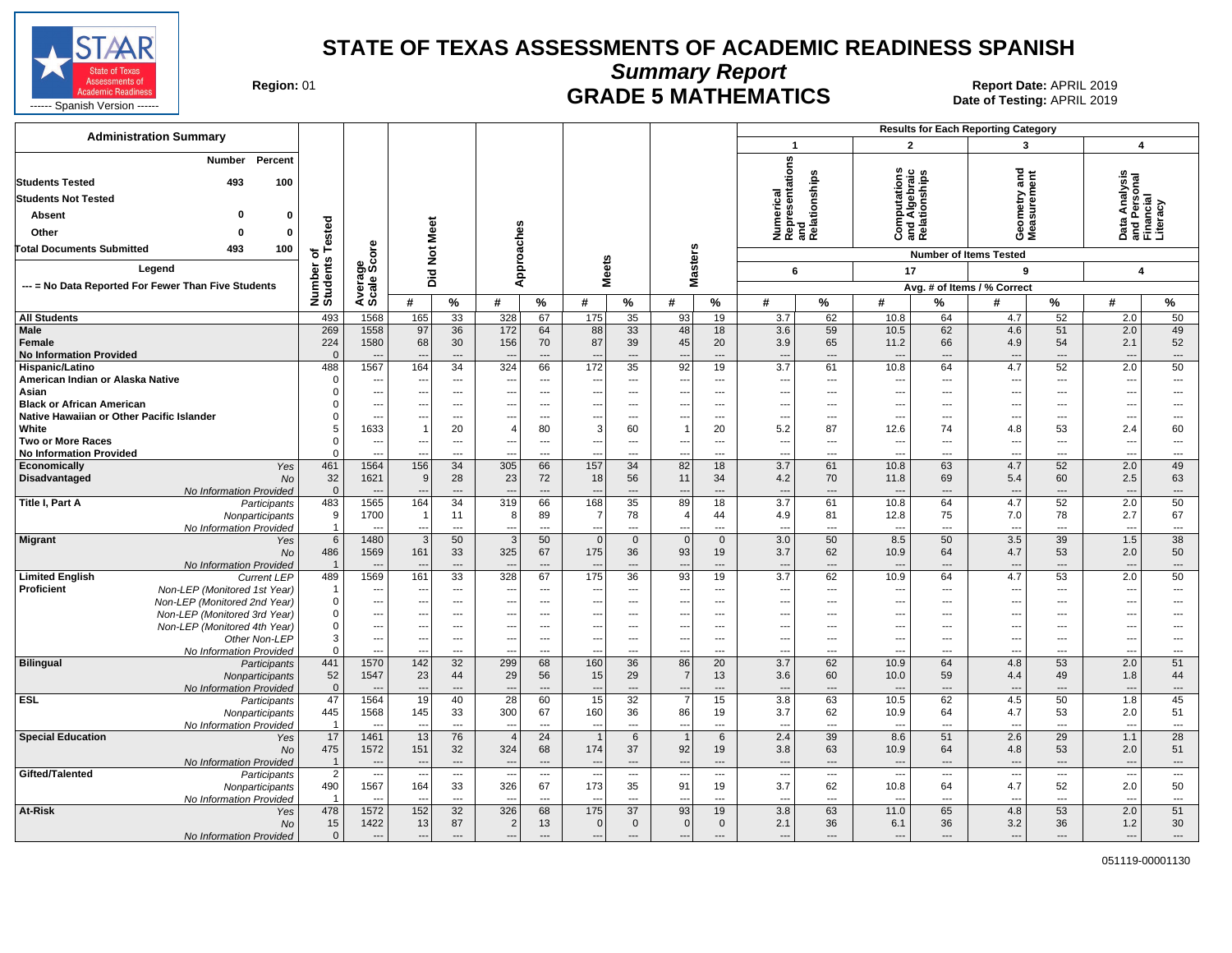

**Summary Report**

Region: 01 **Region: 01 CRADE 5 MATHEMATICS Date of Testing: APRIL 2019 Report Date: APRIL 2019** 

| <b>Administration Summary</b>                                    |                                  |                                    |                                 |                                            |                                                      |                                            |                                 |                                |                                            |                                |                                                      |                                 | <b>Results for Each Reporting Category</b>           |                                                |                                    |                          |                                                        |                                 |
|------------------------------------------------------------------|----------------------------------|------------------------------------|---------------------------------|--------------------------------------------|------------------------------------------------------|--------------------------------------------|---------------------------------|--------------------------------|--------------------------------------------|--------------------------------|------------------------------------------------------|---------------------------------|------------------------------------------------------|------------------------------------------------|------------------------------------|--------------------------|--------------------------------------------------------|---------------------------------|
|                                                                  |                                  |                                    |                                 |                                            |                                                      |                                            |                                 |                                |                                            |                                | $\mathbf{1}$                                         |                                 | $\overline{2}$                                       |                                                | $\mathbf{3}$                       |                          | $\overline{4}$                                         |                                 |
| Percent<br><b>Number</b><br><b>Students Tested</b><br>493<br>100 |                                  |                                    |                                 |                                            |                                                      |                                            |                                 |                                |                                            |                                | Numerical<br>Representations<br>and<br>Relationships |                                 |                                                      | Computations<br>and Algebraic<br>Relationships | and<br>Geometry and<br>Measurement |                          | Data Analysis<br>and Personal<br>Financial<br>Literacy |                                 |
| <b>Students Not Tested</b>                                       |                                  |                                    |                                 |                                            |                                                      |                                            |                                 |                                |                                            |                                |                                                      |                                 |                                                      |                                                |                                    |                          |                                                        |                                 |
| Absent<br>$\bf{0}$                                               |                                  |                                    |                                 |                                            |                                                      |                                            |                                 |                                |                                            |                                |                                                      |                                 |                                                      |                                                |                                    |                          |                                                        |                                 |
|                                                                  | ested                            |                                    | Meet                            |                                            |                                                      |                                            |                                 |                                |                                            |                                |                                                      |                                 |                                                      |                                                |                                    |                          |                                                        |                                 |
| Other<br>$\Omega$                                                |                                  |                                    |                                 |                                            |                                                      |                                            |                                 |                                |                                            |                                |                                                      |                                 |                                                      |                                                |                                    |                          |                                                        |                                 |
| <b>Total Documents Submitted</b><br>100<br>493                   | 하<br>$\boldsymbol{\omega}$       | <b>ore</b>                         | $\frac{5}{2}$                   |                                            |                                                      |                                            |                                 |                                |                                            |                                |                                                      |                                 |                                                      |                                                | <b>Number of Items Tested</b>      |                          |                                                        |                                 |
| Legend                                                           |                                  | န္မွတ္လိ                           |                                 |                                            | Approaches                                           |                                            | <b>Meets</b>                    |                                | <b>Masters</b>                             |                                | 6                                                    |                                 | 17                                                   |                                                | 9                                  |                          | 4                                                      |                                 |
| --- = No Data Reported For Fewer Than Five Students              |                                  |                                    | Did                             |                                            |                                                      |                                            |                                 |                                |                                            |                                |                                                      |                                 |                                                      |                                                | Avg. # of Items / % Correct        |                          |                                                        |                                 |
|                                                                  | Number<br>Students               | Avera                              | #                               | $\%$                                       | #                                                    | $\%$                                       | #                               | %                              | #                                          | $\%$                           | #                                                    | %                               | #                                                    | %                                              | #                                  | $\%$                     | #                                                      | %                               |
| <b>All Students</b>                                              | 493                              | 1568                               | 165                             | 33                                         | 328                                                  | 67                                         | 175                             | 35                             | 93                                         | 19                             | 3.7                                                  | 62                              | 10.8                                                 | 64                                             | 4.7                                | 52                       | 2.0                                                    | 50                              |
| Male                                                             | 269                              | 1558                               | 97                              | 36                                         | 172                                                  | 64                                         | 88                              | 33                             | 48                                         | 18                             | 3.6                                                  | 59                              | 10.5                                                 | 62                                             | 4.6                                | 51                       | 2.0                                                    | 49                              |
| Female                                                           | 224                              | 1580                               | 68                              | 30                                         | 156                                                  | 70                                         | 87                              | 39                             | 45                                         | 20                             | 3.9                                                  | 65                              | 11.2                                                 | 66                                             | 4.9                                | 54                       | 2.1                                                    | 52                              |
| <b>No Information Provided</b>                                   | $\Omega$                         |                                    |                                 | $\overline{a}$                             |                                                      |                                            |                                 | ---                            | $\overline{\phantom{a}}$                   | ---                            | $\overline{\phantom{a}}$                             | $\overline{\phantom{a}}$        | $\overline{a}$                                       |                                                | $\overline{\phantom{a}}$           | $\overline{a}$           | $\overline{a}$                                         | $\overline{\phantom{a}}$        |
| Hispanic/Latino<br>American Indian or Alaska Native              | 488                              | 1567<br>$\overline{a}$             | 164<br>$\overline{\phantom{a}}$ | 34<br>$\overline{a}$                       | 324<br>---                                           | 66<br>$\overline{\phantom{a}}$             | 172<br>---                      | 35<br>---                      | 92<br>---                                  | 19<br>$\overline{\phantom{a}}$ | 3.7<br>---                                           | 61<br>$\overline{a}$            | 10.8<br>$\overline{\phantom{a}}$                     | 64<br>$\overline{a}$                           | 4.7<br>---                         | 52<br>$\overline{a}$     | 2.0<br>---                                             | 50<br>---                       |
| Asian                                                            |                                  | $\overline{a}$                     | ---                             | $\overline{a}$                             |                                                      | $---$                                      | ---                             | $\overline{a}$                 | ---                                        | ---                            | $\overline{\phantom{a}}$                             | $\overline{a}$                  | $\overline{a}$                                       | $\overline{a}$                                 | $\overline{a}$                     | $---$                    | ---                                                    | $\overline{a}$                  |
| <b>Black or African American</b>                                 |                                  | $\overline{\phantom{a}}$           | ---                             | $---$                                      | ---                                                  | $---$                                      | ---                             | $---$                          | ---                                        | $---$                          | $\overline{\phantom{a}}$                             | $---$                           | $---$                                                | $---$                                          | ---                                | $---$                    | ---                                                    | ---                             |
| Native Hawaiian or Other Pacific Islander                        |                                  | $\overline{\phantom{a}}$           |                                 | $\overline{a}$                             |                                                      | ---                                        | ---                             | ---                            | ---                                        | ---                            | $\overline{\phantom{a}}$                             | ---                             | $\overline{\phantom{a}}$                             | $---$                                          | $\overline{a}$                     | $\overline{\phantom{a}}$ | ---                                                    | ---                             |
| White                                                            |                                  | 1633                               |                                 | 20                                         | 4                                                    | 80                                         | 3                               | 60                             | $\mathbf{1}$                               | 20                             | 5.2                                                  | 87                              | 12.6                                                 | 74                                             | 4.8                                | 53                       | 2.4                                                    | 60                              |
| <b>Two or More Races</b>                                         |                                  | $\qquad \qquad \cdots$             |                                 | $\overline{a}$                             | ---                                                  | ---                                        | ---                             | ---                            | $\overline{a}$                             | ---                            | $\overline{\phantom{a}}$                             | ---                             | $\qquad \qquad \cdots$                               | ---                                            | $\overline{a}$                     | $\overline{a}$           | $\overline{\phantom{a}}$                               | ---                             |
| <b>No Information Provided</b><br>Economically<br>Yes            | $\Omega$<br>461                  | ---<br>1564                        | 156                             | $\overline{a}$<br>34                       | ---<br>305                                           | $\overline{a}$<br>66                       | $\overline{\phantom{a}}$<br>157 | ---<br>34                      | $\overline{a}$<br>82                       | ---<br>18                      | $\overline{\phantom{a}}$<br>3.7                      | ---<br>61                       | $\overline{a}$<br>10.8                               | ---<br>63                                      | ---<br>4.7                         | $\overline{a}$<br>52     | ---<br>2.0                                             | ---<br>49                       |
| Disadvantaged<br><b>No</b>                                       | 32                               | 1621                               | 9                               | 28                                         | 23                                                   | 72                                         | 18                              | 56                             | 11                                         | 34                             | 4.2                                                  | 70                              | 11.8                                                 | 69                                             | 5.4                                | 60                       | 2.5                                                    | 63                              |
| No Information Provided                                          | $\Omega$                         | $\overline{a}$                     | $\overline{\phantom{a}}$        | $\overline{a}$                             | $\overline{\phantom{a}}$                             | $\overline{a}$                             |                                 | $\overline{a}$                 | $\overline{\phantom{a}}$                   | ---                            | $\overline{\phantom{a}}$                             | $\overline{\phantom{a}}$        | $\overline{a}$                                       | $\overline{a}$                                 | $---$                              | $---$                    | ---                                                    | $\overline{\phantom{a}}$        |
| Title I, Part A<br>Participants                                  | 483                              | 1565                               | 164                             | 34                                         | 319                                                  | 66                                         | 168                             | 35                             | 89                                         | 18                             | 3.7                                                  | 61                              | 10.8                                                 | 64                                             | 4.7                                | 52                       | 2.0                                                    | 50                              |
| Nonparticipants                                                  | 9                                | 1700                               |                                 | 11                                         | 8                                                    | 89                                         | 7                               | 78                             | $\overline{4}$                             | 44                             | 4.9                                                  | 81                              | 12.8                                                 | 75                                             | 7.0                                | 78                       | 2.7                                                    | 67                              |
| No Information Provided<br><b>Migrant</b><br>Yes                 | $\overline{1}$<br>$6\phantom{1}$ | 1480                               | 3                               | $\overline{a}$<br>50                       | $\sim$<br>3                                          | $\overline{a}$<br>50                       | $\overline{0}$                  | $\overline{a}$<br>$\mathbf{0}$ | $\overline{a}$<br> 0                       | $\overline{a}$<br>$\mathbf 0$  | $\overline{\phantom{a}}$<br>3.0                      | $\sim$<br>50                    | $\overline{a}$<br>8.5                                | $\overline{a}$<br>50                           | $\overline{\phantom{a}}$<br>3.5    | $\overline{a}$<br>39     | $\overline{\phantom{a}}$<br>1.5                        | $\overline{\phantom{a}}$<br>38  |
| No                                                               | 486                              | 1569                               | 161                             | 33                                         | 325                                                  | 67                                         | 175                             | 36                             | 93                                         | 19                             | 3.7                                                  | 62                              | 10.9                                                 | 64                                             | 4.7                                | 53                       | 2.0                                                    | 50                              |
| No Information Provided                                          | $\overline{1}$                   |                                    | $\overline{\phantom{a}}$        | ---                                        | $\overline{\phantom{a}}$                             | $---$                                      |                                 | ---                            | $\overline{a}$                             | ---                            | $\overline{a}$                                       | $\overline{\phantom{a}}$        | $\overline{\phantom{a}}$                             | $\overline{a}$                                 | $\overline{\phantom{a}}$           | $\overline{a}$           | ---                                                    | ---                             |
| <b>Limited English</b><br><b>Current LEP</b>                     | 489                              | 1569                               | 161                             | 33                                         | 328                                                  | 67                                         | 175                             | 36                             | 93                                         | 19                             | $\overline{3.7}$                                     | 62                              | 10.9                                                 | 64                                             | 4.7                                | 53                       | 2.0                                                    | $\overline{50}$                 |
| Proficient<br>Non-LEP (Monitored 1st Year)                       | $\overline{\mathbf{1}}$          | $\overline{\phantom{a}}$           | $\overline{\phantom{a}}$        | $---$                                      | ---                                                  | $---$                                      | --                              | ---                            | $---$                                      | $\overline{a}$                 | $\overline{\phantom{a}}$                             | $---$                           | $---$                                                | $---$                                          | ---                                | $---$                    | ---                                                    | ---                             |
| Non-LEP (Monitored 2nd Year)                                     | $\Omega$<br>$\Omega$             | $---$                              | $\overline{\phantom{a}}$<br>--- | $\overline{a}$<br>$\overline{a}$           | $\overline{a}$<br>$- -$                              | $---$<br>---                               | $\sim$                          | $\overline{a}$<br>---          | ---<br>---                                 | $\overline{a}$<br>---          | $\overline{\phantom{a}}$<br>$\overline{\phantom{a}}$ | $---$<br>$\overline{a}$         | $\overline{\phantom{a}}$<br>---                      | $---$<br>$\overline{a}$                        | $\overline{a}$<br>---              | $---$<br>$\overline{a}$  | ---<br>---                                             | $\overline{a}$<br>---           |
| Non-LEP (Monitored 3rd Year)<br>Non-LEP (Monitored 4th Year)     | $\mathbf 0$                      | ---<br>$\overline{\phantom{a}}$    | $\overline{a}$                  | $\overline{a}$                             | $\overline{a}$                                       | $---$                                      | ---<br>$\overline{a}$           | $\overline{a}$                 | $\overline{a}$                             | $\overline{a}$                 | $\overline{a}$                                       | $\overline{a}$                  | $---$                                                | $\overline{a}$                                 | $\overline{a}$                     | $\overline{a}$           | ---                                                    | ---                             |
| Other Non-LEP                                                    | 3                                | $\hspace{0.05cm} \ldots$           | ---                             | $\overline{a}$                             | ---                                                  | ---                                        | $\overline{\phantom{a}}$        | ---                            | $\overline{\phantom{a}}$                   | ---                            | $\overline{\phantom{a}}$                             | ---                             | $\cdots$                                             | ---                                            | ---                                | $\overline{a}$           | $\overline{\phantom{a}}$                               | ---                             |
| No Information Provided                                          | $\Omega$                         | ---                                |                                 | ---                                        |                                                      | ---                                        |                                 | ---                            | $\overline{a}$                             |                                | $\overline{a}$                                       | ---                             | ---                                                  | ---                                            |                                    | $\overline{a}$           | …                                                      | ---                             |
| <b>Bilingual</b><br>Participants                                 | 441                              | 1570                               | 142                             | 32                                         | 299                                                  | 68                                         | 160                             | 36                             | 86                                         | 20                             | 3.7                                                  | 62                              | 10.9                                                 | 64                                             | 4.8                                | 53                       | 2.0                                                    | 51                              |
| Nonparticipants                                                  | 52<br>$\overline{0}$             | 1547                               | 23                              | 44                                         | 29                                                   | 56<br>$\overline{a}$                       | 15                              | 29                             | $\overline{7}$                             | 13<br>---                      | 3.6                                                  | 60<br>$\overline{\phantom{a}}$  | 10.0                                                 | 59                                             | 4.4                                | 49                       | 1.8                                                    | 44                              |
| No Information Provided<br><b>ESL</b><br>Participants            | 47                               | $\overline{\phantom{a}}$<br>1564   | $\overline{\phantom{a}}$<br>19  | $\overline{\phantom{a}}$<br>40             | $\overline{\phantom{a}}$<br>28                       | 60                                         | $\overline{\phantom{a}}$<br>15  | ---<br>32                      | $\overline{\phantom{a}}$<br>$\overline{7}$ | 15                             | $\overline{\phantom{a}}$<br>3.8                      | 63                              | ---<br>10.5                                          | $\overline{\phantom{a}}$<br>62                 | $\overline{\phantom{a}}$<br>4.5    | $\cdots$<br>50           | ---<br>1.8                                             | ---<br>45                       |
| Nonparticipants                                                  | 445                              | 1568                               | 145                             | 33                                         | 300                                                  | 67                                         | 160                             | 36                             | 86                                         | 19                             | 3.7                                                  | 62                              | 10.9                                                 | 64                                             | 4.7                                | 53                       | 2.0                                                    | 51                              |
| No Information Provided                                          | $\overline{1}$                   |                                    | $\overline{\phantom{a}}$        | $\sim$                                     | $\overline{\phantom{a}}$                             | $\sim$                                     |                                 | $\overline{a}$                 | $\overline{a}$                             | ---                            | $\overline{a}$                                       | $\sim$                          | $\overline{a}$                                       | $-$                                            | $\overline{a}$                     | $\overline{a}$           | ---                                                    | ---                             |
| <b>Special Education</b><br>Yes                                  | 17                               | 1461                               | 13                              | 76                                         | $\overline{4}$                                       | 24                                         |                                 | 6                              | $\overline{1}$                             | 6                              | 2.4                                                  | 39                              | 8.6                                                  | 51                                             | 2.6                                | 29                       | 1.1                                                    | 28                              |
| <b>No</b>                                                        | 475                              | 1572                               | 151                             | 32                                         | 324                                                  | 68                                         | 174                             | 37                             | 92                                         | 19                             | 3.8                                                  | 63                              | 10.9                                                 | 64                                             | 4.8                                | 53                       | 2.0                                                    | 51                              |
| No Information Provided<br>Gifted/Talented                       | $\overline{1}$<br>$\overline{2}$ | $\sim$<br>$\overline{\phantom{a}}$ | - -<br>$\overline{\phantom{a}}$ | $\overline{a}$<br>$\overline{\phantom{a}}$ | $\overline{\phantom{a}}$<br>$\overline{\phantom{a}}$ | $\overline{a}$<br>$\overline{\phantom{a}}$ |                                 | $\overline{a}$<br>---          | $\overline{a}$<br>$\overline{\phantom{a}}$ | ---<br>---                     | $\overline{\phantom{a}}$<br>$\overline{\phantom{a}}$ | $\overline{\phantom{a}}$<br>--- | $\overline{\phantom{a}}$<br>$\overline{\phantom{a}}$ | $\overline{a}$<br>---                          | $\sim$<br>$\overline{\phantom{a}}$ | $\overline{a}$<br>$---$  | $\overline{\phantom{a}}$<br>$\overline{\phantom{a}}$   | ---<br>$\overline{\phantom{a}}$ |
| Participants<br>Nonparticipants                                  | 490                              | 1567                               | 164                             | 33                                         | 326                                                  | 67                                         | $\sim$<br>173                   | 35                             | 91                                         | 19                             | 3.7                                                  | 62                              | 10.8                                                 | 64                                             | 4.7                                | 52                       | 2.0                                                    | 50                              |
| No Information Provided                                          |                                  | $\sim$                             | $\sim$                          | $---$                                      | $\sim$                                               | $\overline{a}$                             | $\overline{a}$                  | $\overline{a}$                 | $\sim$                                     | ---                            | ---                                                  | $---$                           | $\overline{\phantom{a}}$                             | $---$                                          | $\sim$                             | $---$                    | $\sim$                                                 | $\overline{\phantom{a}}$        |
| At-Risk<br>Yes                                                   | 478                              | 1572                               | 152                             | 32                                         | 326                                                  | 68                                         | 175                             | $\overline{37}$                | 93                                         | 19                             | 3.8                                                  | 63                              | 11.0                                                 | 65                                             | 4.8                                | 53                       | 2.0                                                    | 51                              |
| No                                                               | 15                               | 1422                               | 13                              | 87                                         | $\overline{2}$                                       | 13                                         | $\overline{0}$                  | $\mathbf 0$                    | 0                                          | $\mathbf 0$                    | 2.1                                                  | 36                              | 6.1                                                  | 36                                             | 3.2                                | 36                       | 1.2                                                    | 30                              |
| No Information Provided                                          | $\mathbf{0}$                     | $\qquad \qquad \cdots$             | $\overline{a}$                  | $\overline{a}$                             | $\overline{a}$                                       | $\overline{a}$                             | $\overline{a}$                  | $---$                          | $\overline{a}$                             | ---                            | $\overline{\phantom{a}}$                             | $\overline{\phantom{a}}$        | $\overline{\phantom{a}}$                             | $\overline{a}$                                 | $\overline{\phantom{a}}$           | $---$                    | ---                                                    | ---                             |

051119-00001130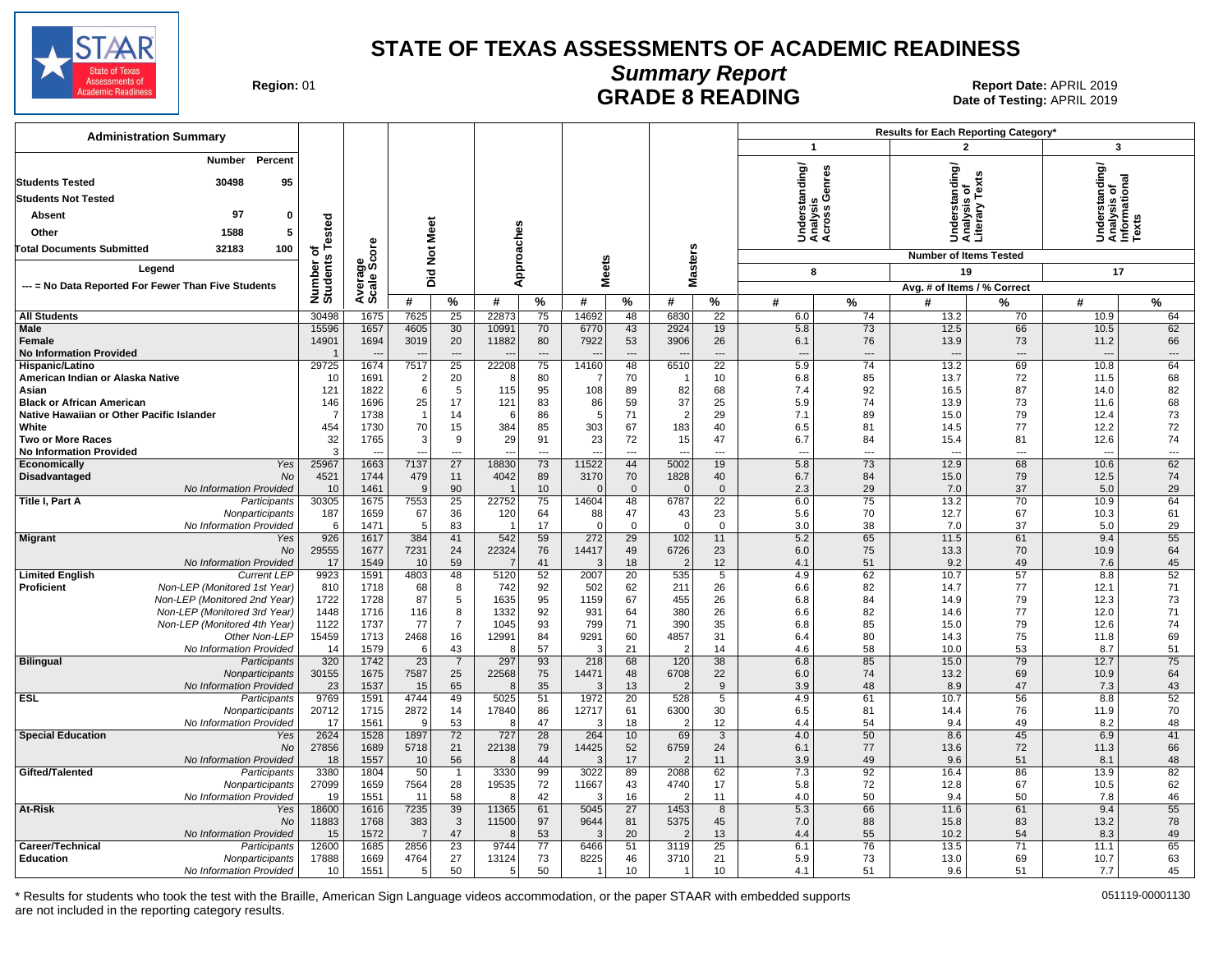

### **Summary Report** Region: 01 **Region: 01 CONTRIGGLARGE 8 READING Report Date: APRIL 2019**<br>Date of Testing: APRIL 2019

Date of Testing: APRIL 2019

| <b>Administration Summary</b>                                                                                                                                                                  |                                  |                        |                                  |                                |                    |                          |               |                                |                        |                       |                                             | Results for Each Reporting Category* |                                                 |                |                                                         |                |  |
|------------------------------------------------------------------------------------------------------------------------------------------------------------------------------------------------|----------------------------------|------------------------|----------------------------------|--------------------------------|--------------------|--------------------------|---------------|--------------------------------|------------------------|-----------------------|---------------------------------------------|--------------------------------------|-------------------------------------------------|----------------|---------------------------------------------------------|----------------|--|
|                                                                                                                                                                                                |                                  |                        |                                  |                                |                    |                          |               |                                |                        |                       | $\mathbf{1}$                                |                                      | $\overline{2}$                                  |                | $\overline{\mathbf{3}}$                                 |                |  |
| <b>Number</b><br>Percent<br>30498<br>95<br><b>Students Tested</b><br><b>Students Not Tested</b><br>97<br>Absent<br>0<br>Other<br>1588<br>5<br>100<br><b>Total Documents Submitted</b><br>32183 | Number of<br>Students Tested     |                        | Did Not Meet                     |                                | Approaches         |                          |               |                                |                        |                       | Understanding/<br>Analysis<br>Across Genres |                                      | Understanding/<br>Analysis of<br>Literary Texts |                | Understanding/<br>Analysis of<br>Informational<br>Texts |                |  |
|                                                                                                                                                                                                |                                  |                        |                                  |                                |                    |                          |               |                                |                        |                       |                                             |                                      | <b>Number of Items Tested</b>                   |                |                                                         |                |  |
| Legend                                                                                                                                                                                         |                                  |                        |                                  |                                |                    |                          | <b>Meets</b>  |                                |                        | Masters               | 8                                           |                                      | 19                                              |                | 17                                                      |                |  |
| --- = No Data Reported For Fewer Than Five Students                                                                                                                                            |                                  | Average<br>Scale Score |                                  |                                |                    |                          |               |                                |                        |                       |                                             |                                      | Avg. # of Items / % Correct                     |                |                                                         |                |  |
| <b>All Students</b>                                                                                                                                                                            | 30498                            | 1675                   | #<br>7625                        | $\%$<br>25                     | #<br>22873         | $\%$<br>75               | #<br>14692    | $\%$<br>48                     | #<br>6830              | $\frac{9}{6}$<br>22   | #<br>6.0                                    | %<br>74                              | #<br>13.2                                       | ℅<br>70        | #<br>10.9                                               | %<br>64        |  |
| <b>Male</b>                                                                                                                                                                                    | 15596                            | 1657                   | 4605                             | 30                             | 10991              | 70                       | 6770          | 43                             | 2924                   | 19                    | 5.8                                         | 73                                   | 12.5                                            | 66             | 10.5                                                    | 62             |  |
| Female<br><b>No Information Provided</b>                                                                                                                                                       | 14901<br>$\overline{\mathbf{1}}$ | 1694                   | 3019<br>$\overline{\phantom{a}}$ | 20<br>$\overline{\phantom{a}}$ | 11882              | 80<br>$---$              | 7922          | 53<br>$\overline{\phantom{a}}$ | 3906<br>$\overline{a}$ | 26<br>$\overline{a}$  | 6.1<br>$\overline{\phantom{a}}$             | 76<br>$\overline{\phantom{a}}$       | 13.9<br>$\overline{\phantom{a}}$                | 73<br>$---$    | 11.2<br>$\overline{a}$                                  | 66<br>$---$    |  |
| Hispanic/Latino                                                                                                                                                                                | 29725                            | 1674                   | 7517                             | 25                             | 22208              | 75                       | 14160         | 48                             | 6510                   | $\overline{22}$       | 5.9                                         | 74                                   | 13.2                                            | 69             | 10.8                                                    | 64             |  |
| American Indian or Alaska Native                                                                                                                                                               | 10                               | 1691                   | $\overline{2}$                   | 20                             | -8                 | 80                       |               | 70                             | - 1                    | 10                    | 6.8                                         | 85                                   | 13.7                                            | 72             | 11.5                                                    | 68             |  |
| Asian                                                                                                                                                                                          | 121                              | 1822<br>1696           | 6<br>25                          | 5<br>17                        | 115                | 95<br>83                 | 108           | 89<br>59                       | 82<br>37               | 68<br>25              | 7.4<br>5.9                                  | 92<br>74                             | 16.5                                            | 87<br>73       | 14.0                                                    | 82<br>68       |  |
| <b>Black or African American</b><br>Native Hawaiian or Other Pacific Islander                                                                                                                  | 146<br>$\overline{7}$            | 1738                   | $\overline{1}$                   | 14                             | 121<br>6           | 86                       | 86<br>5       | 71                             | $\overline{2}$         | 29                    | 7.1                                         | 89                                   | 13.9<br>15.0                                    | 79             | 11.6<br>12.4                                            | 73             |  |
| White                                                                                                                                                                                          | 454                              | 1730                   | 70                               | 15                             | 384                | 85                       | 303           | 67                             | 183                    | 40                    | 6.5                                         | 81                                   | 14.5                                            | 77             | 12.2                                                    | 72             |  |
| <b>Two or More Races</b>                                                                                                                                                                       | 32                               | 1765                   | 3                                | 9                              | 29                 | 91                       | 23            | 72                             | 15                     | 47                    | 6.7                                         | 84                                   | 15.4                                            | 81             | 12.6                                                    | 74             |  |
| <b>No Information Provided</b>                                                                                                                                                                 | 3                                |                        |                                  | $\overline{a}$                 | $\overline{a}$     | $\overline{\phantom{a}}$ |               | ---                            | $\overline{a}$         | $\overline{a}$        | $\sim$                                      | $\overline{a}$                       |                                                 | $\overline{a}$ | $\overline{a}$                                          | $\overline{a}$ |  |
| <b>Yes</b><br>Economically<br>No                                                                                                                                                               | 25967<br>4521                    | 1663<br>1744           | 7137<br>479                      | $\overline{27}$<br>11          | 18830<br>4042      | 73<br>89                 | 11522<br>3170 | 44<br>70                       | 5002<br>1828           | $\overline{19}$<br>40 | 5.8<br>6.7                                  | $\overline{73}$<br>84                | 12.9                                            | 68<br>79       | 10.6<br>12.5                                            | 62<br>74       |  |
| Disadvantaged<br>No Information Provided                                                                                                                                                       | 10                               | 1461                   | 9                                | 90                             |                    | 10                       | $\Omega$      | $\mathbf{0}$                   | $\Omega$               | $\mathbf{0}$          | 2.3                                         | 29                                   | 15.0<br>7.0                                     | 37             | 5.0                                                     | 29             |  |
| Title I, Part A<br>Participants                                                                                                                                                                | 30305                            | 1675                   | 7553                             | 25                             | 22752              | 75                       | 14604         | 48                             | 6787                   | 22                    | 6.0                                         | 75                                   | 13.2                                            | 70             | 10.9                                                    | 64             |  |
| Nonparticipants                                                                                                                                                                                | 187                              | 1659                   | 67                               | 36                             | 120                | 64                       | 88            | 47                             | 43                     | 23                    | 5.6                                         | 70                                   | 12.7                                            | 67             | 10.3                                                    | 61             |  |
| No Information Provided                                                                                                                                                                        | 6                                | 1471                   | 5                                | 83                             |                    | 17                       | $\Omega$      | $\mathbf 0$                    | $\Omega$               | $\mathbf 0$           | 3.0                                         | 38                                   | 7.0                                             | 37             | 5.0                                                     | 29             |  |
| <b>Migrant</b><br>Yes                                                                                                                                                                          | 926                              | 1617                   | 384                              | 41                             | 542<br>22324       | 59<br>76                 | 272<br>14417  | 29                             | 102                    | 11                    | 5.2<br>6.0                                  | 65                                   | 11.5                                            | 61<br>70       | 9.4<br>10.9                                             | 55<br>64       |  |
| <b>No</b><br>No Information Provided                                                                                                                                                           | 29555<br>17                      | 1677<br>1549           | 7231<br>10                       | 24<br>59                       | - 7                | 41                       | 3             | 49<br>18                       | 6726<br>$\overline{2}$ | 23<br>12              | 4.1                                         | 75<br>51                             | 13.3<br>9.2                                     | 49             | 7.6                                                     | 45             |  |
| <b>Limited English</b><br><b>Current LEP</b>                                                                                                                                                   | 9923                             | 1591                   | 4803                             | 48                             | 5120               | 52                       | 2007          | 20                             | 535                    | 5                     | 4.9                                         | 62                                   | 10.7                                            | 57             | 8.8                                                     | 52             |  |
| Non-LEP (Monitored 1st Year)<br>Proficient                                                                                                                                                     | 810                              | 1718                   | 68                               | 8                              | 742                | 92                       | 502           | 62                             | 211                    | 26                    | 6.6                                         | 82                                   | 14.7                                            | 77             | 12.1                                                    | 71             |  |
| Non-LEP (Monitored 2nd Year)                                                                                                                                                                   | 1722                             | 1728                   | 87                               | 5                              | 1635               | 95                       | 1159          | 67                             | 455                    | 26                    | 6.8                                         | 84                                   | 14.9                                            | 79             | 12.3                                                    | 73             |  |
| Non-LEP (Monitored 3rd Year)                                                                                                                                                                   | 1448                             | 1716                   | 116                              | 8<br>$\overline{7}$            | 1332               | 92                       | 931           | 64<br>71                       | 380                    | 26                    | 6.6                                         | 82                                   | 14.6                                            | 77             | 12.0                                                    | 71             |  |
| Non-LEP (Monitored 4th Year)<br>Other Non-LEP                                                                                                                                                  | 1122<br>15459                    | 1737<br>1713           | 77<br>2468                       | 16                             | 1045<br>12991      | 93<br>84                 | 799<br>9291   | 60                             | 390<br>4857            | 35<br>31              | 6.8<br>6.4                                  | 85<br>80                             | 15.0<br>14.3                                    | 79<br>75       | 12.6<br>11.8                                            | 74<br>69       |  |
| No Information Provided                                                                                                                                                                        | 14                               | 1579                   | 6                                | 43                             | ု                  | 57                       | з             | 21                             | $\mathcal{P}$          | 14                    | 4.6                                         | 58                                   | 10.0                                            | 53             | 8.7                                                     | 51             |  |
| <b>Bilingual</b><br>Participants                                                                                                                                                               | 320                              | 1742                   | $\overline{23}$                  | $\overline{7}$                 | 297                | 93                       | 218           | 68                             | 120                    | 38                    | 6.8                                         | 85                                   | 15.0                                            | 79             | 12.7                                                    | 75             |  |
| Nonparticipants                                                                                                                                                                                | 30155                            | 1675                   | 7587                             | 25                             | 22568              | 75                       | 14471         | 48                             | 6708                   | 22                    | 6.0                                         | 74                                   | 13.2                                            | 69             | 10.9                                                    | 64             |  |
| No Information Provided<br><b>ESL</b>                                                                                                                                                          | 23<br>9769                       | 1537<br>1591           | 15<br>4744                       | 65                             | $\epsilon$<br>5025 | 35<br>51                 | 3<br>1972     | 13<br>20                       | $\tilde{ }$            | 9<br>5                | 3.9<br>4.9                                  | 48<br>61                             | 8.9<br>10.7                                     | 47<br>56       | 7.3<br>8.8                                              | 43<br>52       |  |
| Participants<br>Nonparticipants                                                                                                                                                                | 20712                            | 1715                   | 2872                             | 49<br>14                       | 17840              | 86                       | 12717         | 61                             | 528<br>6300            | 30                    | 6.5                                         | 81                                   | 14.4                                            | 76             | 11.9                                                    | 70             |  |
| No Information Provided                                                                                                                                                                        | 17                               | 1561                   | 9                                | 53                             | ۶                  | 47                       | 3             | 18                             | -2                     | 12                    | 4.4                                         | 54                                   | 9.4                                             | 49             | 8.2                                                     | 48             |  |
| <b>Special Education</b><br>Yes                                                                                                                                                                | 2624                             | 1528                   | 1897                             | 72                             | 727                | 28                       | 264           | 10                             | 69                     | 3                     | 4.0                                         | 50                                   | 8.6                                             | 45             | 6.9                                                     | 41             |  |
| No                                                                                                                                                                                             | 27856                            | 1689                   | 5718                             | 21                             | 22138              | 79                       | 14425         | 52                             | 6759                   | 24                    | 6.1                                         | 77                                   | 13.6                                            | 72             | 11.3                                                    | 66             |  |
| No Information Provided<br>Gifted/Talented<br>Participants                                                                                                                                     | 18<br>3380                       | 1557<br>1804           | 10<br>50                         | 56<br>$\overline{1}$           | ρ<br>3330          | 44<br>99                 | 3<br>3022     | 17<br>89                       | $\overline{2}$<br>2088 | 11<br>62              | 3.9<br>7.3                                  | 49<br>92                             | 9.6<br>16.4                                     | 51<br>86       | 8.1<br>13.9                                             | 48<br>82       |  |
| Nonparticipants                                                                                                                                                                                | 27099                            | 1659                   | 7564                             | 28                             | 19535              | 72                       | 11667         | 43                             | 4740                   | 17                    | 5.8                                         | 72                                   | 12.8                                            | 67             | 10.5                                                    | 62             |  |
| No Information Provided                                                                                                                                                                        | 19                               | 1551                   | 11                               | 58                             | -8                 | 42                       | з             | 16                             | -2                     | 11                    | 4.0                                         | 50                                   | 9.4                                             | 50             | 7.8                                                     | 46             |  |
| <b>At-Risk</b><br>Yes                                                                                                                                                                          | 18600                            | 1616                   | 7235                             | 39                             | 11365              | 61                       | 5045          | 27                             | 1453                   | 8                     | 5.3                                         | 66                                   | 11.6                                            | 61             | 9.4                                                     | 55             |  |
| No                                                                                                                                                                                             | 11883                            | 1768                   | 383                              | 3                              | 11500              | 97                       | 9644          | 81                             | 5375                   | 45                    | 7.0                                         | 88                                   | 15.8                                            | 83             | 13.2                                                    | 78             |  |
| No Information Provided                                                                                                                                                                        | 15                               | 1572                   | $\overline{7}$                   | 47                             | f                  | 53                       |               | 20                             | 2                      | 13                    | 4.4                                         | 55                                   | 10.2                                            | 54             | 8.3                                                     | 49             |  |
| Career/Technical<br>Participants<br><b>Education</b><br>Nonparticipants                                                                                                                        | 12600<br>17888                   | 1685<br>1669           | 2856<br>4764                     | 23<br>27                       | 9744<br>13124      | 77<br>73                 | 6466<br>8225  | 51<br>46                       | 3119<br>3710           | 25<br>21              | 6.1<br>5.9                                  | 76<br>73                             | 13.5<br>13.0                                    | 71<br>69       | 11.1<br>10.7                                            | 65<br>63       |  |
| No Information Provided                                                                                                                                                                        | 10                               | 1551                   | 5                                | 50                             | 5                  | 50                       | -1            | 10                             | $\overline{1}$         | 10                    | 4.1                                         | 51                                   | 9.6                                             | 51             | 7.7                                                     | 45             |  |
|                                                                                                                                                                                                |                                  |                        |                                  |                                |                    |                          |               |                                |                        |                       |                                             |                                      |                                                 |                |                                                         |                |  |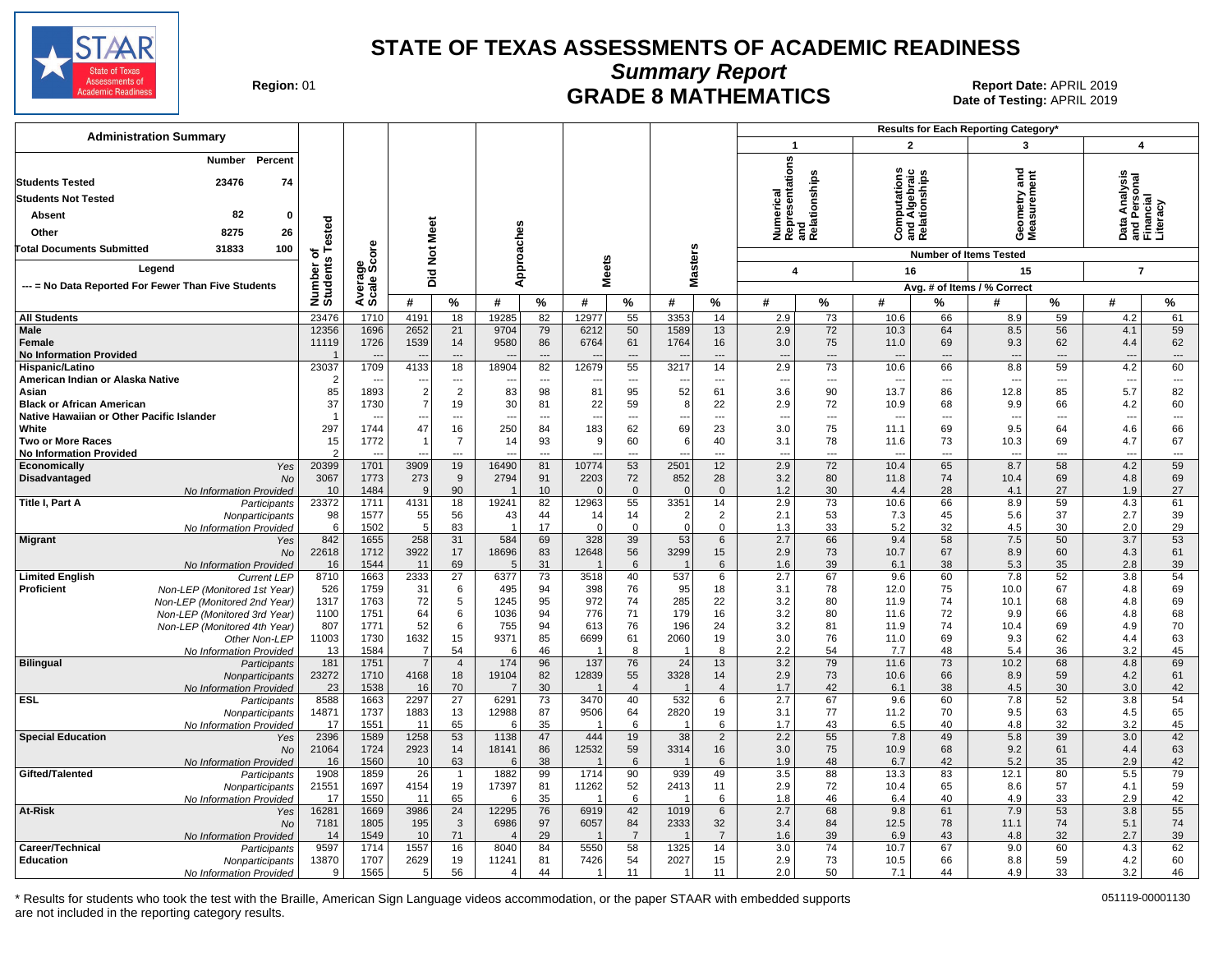

**Summary Report**

Region: 01 **Region: 01 CRADE 8 MATHEMATICS Date of Testing: APRIL 2019 Report Date: APRIL 2019** Date of Testing: APRIL 2019

| <b>Administration Summary</b>                                                                                                     |                       |                          |                          |                          |                |                |                |                          |                          |                      |                                 |                      |                                                            |                          | Results for Each Reporting Category*       |                          |                                                           |                                |
|-----------------------------------------------------------------------------------------------------------------------------------|-----------------------|--------------------------|--------------------------|--------------------------|----------------|----------------|----------------|--------------------------|--------------------------|----------------------|---------------------------------|----------------------|------------------------------------------------------------|--------------------------|--------------------------------------------|--------------------------|-----------------------------------------------------------|--------------------------------|
|                                                                                                                                   |                       |                          |                          |                          |                |                |                |                          |                          |                      | -1                              |                      | $\overline{2}$                                             |                          | 3                                          |                          | $\overline{\mathbf{4}}$                                   |                                |
| Number Percent<br>23476<br>74<br><b>Students Tested</b><br><b>Students Not Tested</b><br>82<br>0<br>Absent<br>8275<br>26<br>Other | ested                 |                          | <b>Not Meet</b>          |                          | Approaches     |                |                |                          |                          |                      | Numerical<br>Representations    | and<br>Relationships | w<br><b>Computations</b><br>and Algebraic<br>Relationships |                          | ರ<br>ā,<br>metry:<br>surem<br>esas<br>Seas | 훕                        | Analysis<br><u>ទី ឝ</u><br>ڇ<br>nd Pr<br>Than<br>ata<br>ő | Literac<br>ᅙᄔ                  |
| <b>Total Documents Submitted</b><br>31833<br>100                                                                                  | ⊢<br>৳                | δe                       |                          |                          |                |                |                |                          |                          |                      |                                 |                      |                                                            |                          | <b>Number of Items Tested</b>              |                          |                                                           |                                |
| Legend                                                                                                                            |                       | န္တပ္တိ                  | 흐                        |                          |                |                | <b>Meets</b>   |                          | <b>Masters</b>           |                      | 4                               |                      | 16                                                         |                          | 15                                         |                          | $\overline{7}$                                            |                                |
| --- = No Data Reported For Fewer Than Five Students                                                                               |                       |                          | ه                        |                          |                |                |                |                          |                          |                      |                                 |                      |                                                            |                          | Avg. # of Items / % Correct                |                          |                                                           |                                |
|                                                                                                                                   | Number of<br>Students | Average:                 | #                        | %                        | #              | %              | #              | %                        | #                        | $\%$                 | #                               | %                    | #                                                          | %                        | #                                          | %                        | #                                                         | $\%$                           |
| <b>All Students</b>                                                                                                               | 23476                 | 1710                     | 4191                     | 18                       | 19285          | 82             | 12977          | 55                       | 3353                     | 14                   | 2.9                             | 73                   | 10.6                                                       | 66                       | 8.9                                        | 59                       | 4.2                                                       | 61                             |
| <b>Male</b>                                                                                                                       | 12356                 | 1696                     | 2652                     | 21                       | 9704           | 79             | 6212           | 50                       | 1589                     | 13                   | 2.9                             | 72                   | 10.3                                                       | 64                       | 8.5                                        | 56                       | 4.1                                                       | 59                             |
| Female                                                                                                                            | 11119                 | 1726                     | 1539                     | 14<br>$\overline{a}$     | 9580           | 86<br>$\sim$   | 6764           | 61                       | 1764                     | 16                   | 3.0                             | 75                   | 11.0                                                       | 69                       | 9.3                                        | 62                       | 4.4<br>$\sim$                                             | 62<br>$\overline{\phantom{a}}$ |
| <b>No Information Provided</b><br>Hispanic/Latino                                                                                 | 23037                 | 1709                     | 4133                     | 18                       | 18904          | 82             | 12679          | ---<br>55                | 3217                     | $\overline{a}$<br>14 | $\overline{\phantom{a}}$<br>2.9 | $\overline{a}$<br>73 | $\overline{a}$<br>10.6                                     | $---$<br>66              | $\overline{a}$<br>8.8                      | $\overline{a}$<br>59     | 4.2                                                       | 60                             |
| American Indian or Alaska Native                                                                                                  | 2                     | $\overline{\phantom{a}}$ | $\overline{\phantom{a}}$ | $\overline{\phantom{a}}$ | ---            | ---            |                | $\overline{\phantom{a}}$ | $\overline{\phantom{a}}$ | ---                  | $\overline{\phantom{a}}$        | $\overline{a}$       | $\overline{\phantom{a}}$                                   | $\overline{\phantom{a}}$ | $\overline{\phantom{a}}$                   | $\overline{\phantom{a}}$ | $\overline{\phantom{a}}$                                  | $\overline{\phantom{a}}$       |
| Asian                                                                                                                             | 85                    | 1893                     | $\overline{2}$           | $\overline{2}$           | 83             | 98             | 81             | 95                       | 52                       | 61                   | 3.6                             | 90                   | 13.7                                                       | 86                       | 12.8                                       | 85                       | 5.7                                                       | 82                             |
| <b>Black or African American</b>                                                                                                  | 37                    | 1730                     | $\overline{7}$           | 19                       | 30             | 81             | 22             | 59                       | 8                        | 22                   | 2.9                             | 72                   | 10.9                                                       | 68                       | 9.9                                        | 66                       | 4.2                                                       | 60                             |
| Native Hawaiian or Other Pacific Islander                                                                                         | -1                    | $\overline{\phantom{a}}$ |                          | ---                      |                | ---            | $\overline{a}$ | ---                      |                          | ---                  | $\overline{\phantom{a}}$        | ---                  | ---                                                        | $\overline{a}$           | $\overline{a}$                             | ---                      | ---                                                       | $\hspace{0.05cm} \ldots$       |
| White<br><b>Two or More Races</b>                                                                                                 | 297<br>15             | 1744<br>1772             | 47                       | 16<br>$\overline{7}$     | 250<br>14      | 84<br>93       | 183<br>9       | 62<br>60                 | 69<br>6                  | 23<br>40             | 3.0<br>3.1                      | 75<br>78             | 11.1<br>11.6                                               | 69<br>73                 | 9.5<br>10.3                                | 64<br>69                 | 4.6<br>4.7                                                | 66<br>67                       |
| <b>No Information Provided</b>                                                                                                    | $\mathcal{P}$         |                          |                          | $---$                    | $\overline{a}$ | $\overline{a}$ |                | ---                      |                          | ---                  | $\overline{\phantom{a}}$        | ---                  | $\sim$                                                     | $---$                    | $\overline{a}$                             | $---$                    | $\sim$                                                    | $\overline{a}$                 |
| Economically<br>Yes                                                                                                               | 20399                 | 1701                     | 3909                     | 19                       | 16490          | 81             | 10774          | 53                       | 2501                     | 12                   | 2.9                             | 72                   | 10.4                                                       | 65                       | 8.7                                        | 58                       | 4.2                                                       | 59                             |
| Disadvantaged<br>No                                                                                                               | 3067                  | 1773                     | 273                      | 9                        | 2794           | 91             | 2203           | 72                       | 852                      | 28                   | 3.2                             | 80                   | 11.8                                                       | 74                       | 10.4                                       | 69                       | 4.8                                                       | 69                             |
| No Information Provided                                                                                                           | 10                    | 1484                     | <sub>9</sub>             | 90                       |                | 10             | $\Omega$       | $\Omega$                 | $\Omega$                 | $\overline{0}$       | 1.2                             | 30                   | 4.4                                                        | 28                       | 4.1                                        | 27                       | 1.9                                                       | 27                             |
| Title I, Part A<br>Participants                                                                                                   | 23372<br>98           | 1711<br>1577             | 4131<br>55               | 18<br>56                 | 19241<br>43    | 82<br>44       | 12963<br>14    | 55<br>14                 | 3351<br>$\overline{2}$   | 14<br>$\overline{2}$ | 2.9<br>2.1                      | 73<br>53             | 10.6<br>7.3                                                | 66<br>45                 | 8.9<br>5.6                                 | 59<br>37                 | 4.3<br>2.7                                                | 61<br>39                       |
| Nonparticipants<br>No Information Provided                                                                                        | 6                     | 1502                     | 5                        | 83                       | $\overline{1}$ | 17             | $\Omega$       | $\Omega$                 | $\Omega$                 | $\mathbf 0$          | 1.3                             | 33                   | 5.2                                                        | 32                       | 4.5                                        | 30                       | 2.0                                                       | 29                             |
| <b>Migrant</b><br>Yes                                                                                                             | 842                   | 1655                     | 258                      | 31                       | 584            | 69             | 328            | 39                       | 53                       | $6\phantom{1}6$      | 2.7                             | 66                   | 9.4                                                        | 58                       | 7.5                                        | 50                       | 3.7                                                       | 53                             |
| No                                                                                                                                | 22618                 | 1712                     | 3922                     | 17                       | 18696          | 83             | 12648          | 56                       | 3299                     | 15                   | 2.9                             | 73                   | 10.7                                                       | 67                       | 8.9                                        | 60                       | 4.3                                                       | 61                             |
| No Information Provided                                                                                                           | 16                    | 1544                     | 11                       | 69                       | 5              | 31             |                | 6                        |                          | 6                    | 1.6                             | 39                   | 6.1                                                        | 38                       | 5.3                                        | 35                       | 2.8                                                       | 39                             |
| <b>Limited English</b><br><b>Current LEP</b><br>Proficient<br>Non-LEP (Monitored 1st Year)                                        | 8710<br>526           | 1663<br>1759             | 2333<br>31               | 27<br>6                  | 6377<br>495    | 73<br>94       | 3518<br>398    | 40<br>76                 | 537<br>95                | 6<br>18              | 2.7<br>3.1                      | 67<br>78             | 9.6<br>12.0                                                | 60<br>75                 | 7.8<br>10.0                                | 52<br>67                 | 3.8<br>4.8                                                | 54<br>69                       |
| Non-LEP (Monitored 2nd Year)                                                                                                      | 1317                  | 1763                     | 72                       | 5                        | 1245           | 95             | 972            | 74                       | 285                      | 22                   | 3.2                             | 80                   | 11.9                                                       | 74                       | 10.1                                       | 68                       | 4.8                                                       | 69                             |
| Non-LEP (Monitored 3rd Year)                                                                                                      | 1100                  | 1751                     | 64                       | 6                        | 1036           | 94             | 776            | 71                       | 179                      | 16                   | 3.2                             | 80                   | 11.6                                                       | 72                       | 9.9                                        | 66                       | 4.8                                                       | 68                             |
| Non-LEP (Monitored 4th Year)                                                                                                      | 807                   | 1771                     | 52                       | 6                        | 755            | 94             | 613            | 76                       | 196                      | 24                   | 3.2                             | 81                   | 11.9                                                       | 74                       | 10.4                                       | 69                       | 4.9                                                       | 70                             |
| Other Non-LEP                                                                                                                     | 11003                 | 1730                     | 1632                     | 15                       | 9371           | 85             | 6699           | 61                       | 2060                     | 19                   | 3.0                             | 76                   | 11.0                                                       | 69                       | 9.3                                        | 62                       | 4.4                                                       | 63                             |
| No Information Provideo                                                                                                           | 13                    | 1584                     | -7                       | 54                       | 6              | 46             |                | 8                        | -1                       | 8                    | 2.2                             | 54                   | 7.7                                                        | 48                       | 5.4                                        | 36                       | 3.2                                                       | 45                             |
| <b>Bilingual</b><br>Participants<br>Nonparticipants                                                                               | 181<br>23272          | 1751<br>1710             | 4168                     | $\overline{4}$<br>18     | 174<br>19104   | 96<br>82       | 137<br>12839   | 76<br>55                 | 24<br>3328               | 13<br>14             | 3.2<br>2.9                      | 79<br>73             | 11.6<br>10.6                                               | 73<br>66                 | 10.2<br>8.9                                | 68<br>59                 | 4.8<br>4.2                                                | 69<br>61                       |
| No Information Provided                                                                                                           | 23                    | 1538                     | 16                       | 70                       | $\overline{7}$ | 30             |                | $\overline{4}$           |                          | $\overline{4}$       | 1.7                             | 42                   | 6.1                                                        | 38                       | 4.5                                        | 30                       | 3.0                                                       | 42                             |
| <b>ESL</b><br>Participants                                                                                                        | 8588                  | 1663                     | 2297                     | $\overline{27}$          | 6291           | 73             | 3470           | 40                       | 532                      | 6                    | 2.7                             | 67                   | 9.6                                                        | 60                       | 7.8                                        | 52                       | 3.8                                                       | 54                             |
| Nonparticipants                                                                                                                   | 14871                 | 1737                     | 1883                     | 13                       | 12988          | 87             | 9506           | 64                       | 2820                     | 19                   | 3.1                             | 77                   | 11.2                                                       | 70                       | 9.5                                        | 63                       | 4.5                                                       | 65                             |
| No Information Provided                                                                                                           | 17                    | 1551                     | 11                       | 65                       | 6              | 35             |                | 6                        | $\mathbf 1$              | 6                    | 1.7                             | 43                   | 6.5                                                        | 40                       | 4.8                                        | 32                       | 3.2                                                       | 45                             |
| <b>Special Education</b><br>Yes<br><b>No</b>                                                                                      | 2396<br>21064         | 1589<br>1724             | 1258<br>2923             | 53<br>14                 | 1138<br>18141  | 47<br>86       | 444<br>12532   | 19<br>59                 | 38<br>3314               | $\overline{2}$<br>16 | 2.2<br>3.0                      | 55<br>75             | 7.8<br>10.9                                                | 49<br>68                 | 5.8<br>9.2                                 | 39<br>61                 | 3.0<br>4.4                                                | 42<br>63                       |
| No Information Provided                                                                                                           | 16                    | 1560                     | 10                       | 63                       | 6              | 38             |                | 6                        |                          | 6                    | 1.9                             | 48                   | 6.7                                                        | 42                       | 5.2                                        | 35                       | 2.9                                                       | 42                             |
| Gifted/Talented<br>Participants                                                                                                   | 1908                  | 1859                     | 26                       | $\overline{1}$           | 1882           | 99             | 1714           | 90                       | 939                      | 49                   | 3.5                             | 88                   | 13.3                                                       | 83                       | 12.1                                       | 80                       | 5.5                                                       | 79                             |
| Nonparticipants                                                                                                                   | 21551                 | 1697                     | 4154                     | 19                       | 17397          | 81             | 11262          | 52                       | 2413                     | 11                   | 2.9                             | 72                   | 10.4                                                       | 65                       | 8.6                                        | 57                       | 4.1                                                       | 59                             |
| No Information Provideo                                                                                                           | 17                    | 1550                     | 11                       | 65                       | 6              | 35             |                | 6                        |                          | 6                    | 1.8                             | 46                   | 6.4                                                        | 40                       | 4.9                                        | 33                       | 2.9                                                       | 42                             |
| At-Risk<br>Yes<br><b>No</b>                                                                                                       | 16281<br>7181         | 1669<br>1805             | 3986<br>195              | 24<br>3                  | 12295<br>6986  | 76<br>97       | 6919<br>6057   | 42<br>84                 | 1019<br>2333             | 6<br>32              | 2.7<br>3.4                      | 68<br>84             | 9.8<br>12.5                                                | 61<br>78                 | 7.9<br>11.1                                | 53<br>74                 | 3.8<br>5.1                                                | 55<br>74                       |
| No Information Provided                                                                                                           | 14                    | 1549                     | 10                       | 71                       |                | 29             |                | $\overline{7}$           |                          | $\overline{7}$       | 1.6                             | 39                   | 6.9                                                        | 43                       | 4.8                                        | 32                       | 2.7                                                       | 39                             |
| Career/Technical<br>Participants                                                                                                  | 9597                  | 1714                     | 1557                     | 16                       | 8040           | 84             | 5550           | 58                       | 1325                     | 14                   | 3.0                             | 74                   | 10.7                                                       | 67                       | 9.0                                        | 60                       | 4.3                                                       | 62                             |
| Education<br>Nonparticipants                                                                                                      | 13870                 | 1707                     | 2629                     | 19                       | 11241          | 81             | 7426           | 54                       | 2027                     | 15                   | 2.9                             | 73                   | 10.5                                                       | 66                       | 8.8                                        | 59                       | 4.2                                                       | 60                             |
| No Information Provided                                                                                                           | 9                     | 1565                     | 5 <sup>5</sup>           | 56                       | $\overline{4}$ | 44             |                | 11                       | $\overline{1}$           | 11                   | 2.0                             | 50                   | 7.1                                                        | 44                       | 4.9                                        | 33                       | 3.2                                                       | 46                             |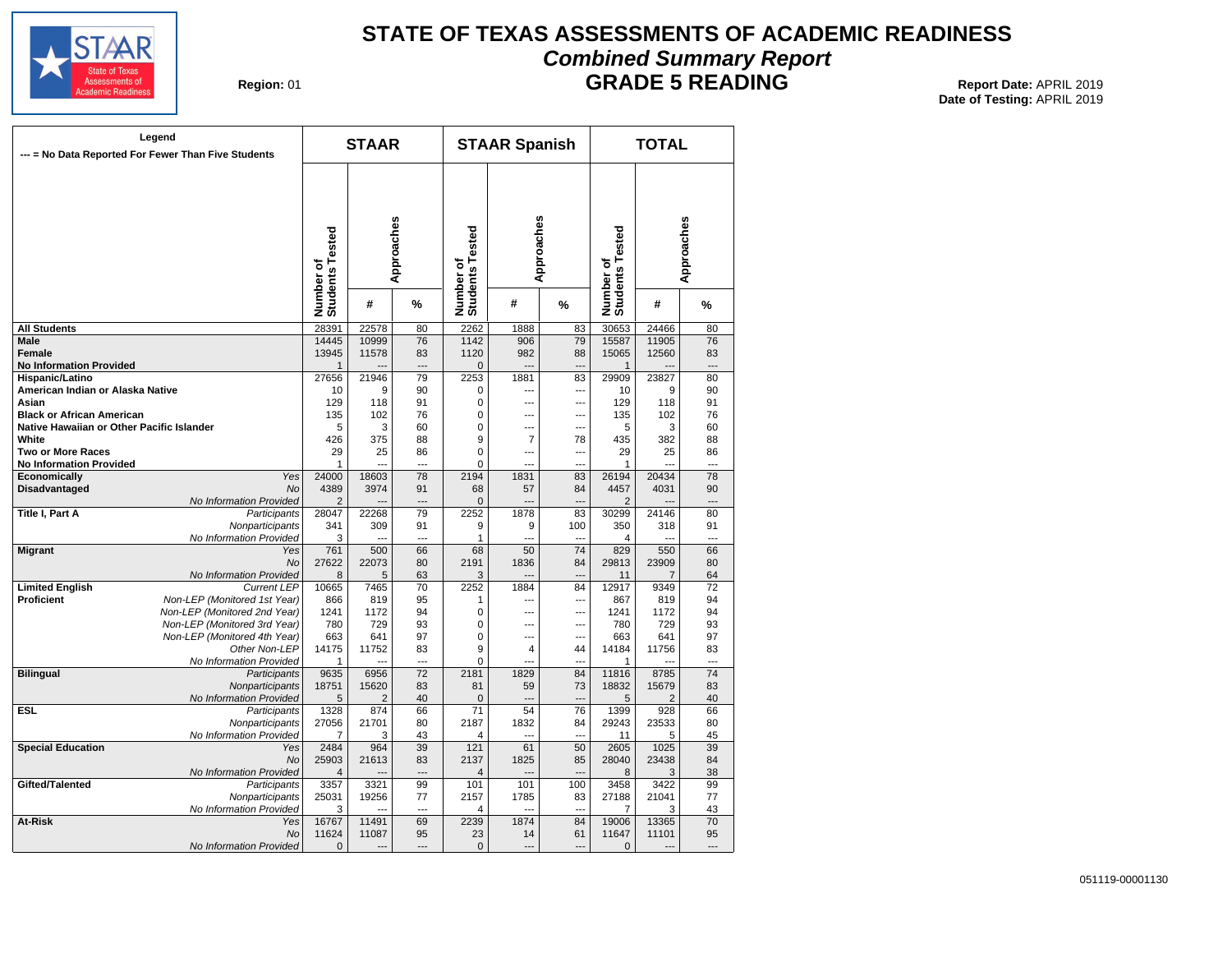

## **STATE OF TEXAS ASSESSMENTS OF ACADEMIC READINESS Combined Summary Report**

**Region: 01** 

**GRADE 5 READING** Report Date: APRIL 2019 **Date of Testing:**  APRIL 2019

| Legend<br>--- = No Data Reported For Fewer Than Five Students |                              | <b>STAAR</b>                 |                |            | <b>STAAR Spanish</b>         |                | <b>TOTAL</b>             |                              |                |                |  |
|---------------------------------------------------------------|------------------------------|------------------------------|----------------|------------|------------------------------|----------------|--------------------------|------------------------------|----------------|----------------|--|
|                                                               |                              | Number of<br>Students Tested |                | Approaches | Number of<br>Students Tested | Approaches     |                          | Number of<br>Students Tested |                | Approaches     |  |
|                                                               |                              |                              | #              | %          |                              | #              | %                        |                              | #              | %              |  |
| <b>All Students</b>                                           |                              | 28391                        | 22578          | 80         | 2262                         | 1888           | 83                       | 30653                        | 24466          | 80             |  |
| <b>Male</b>                                                   |                              | 14445                        | 10999          | 76         | 1142                         | 906            | 79                       | 15587                        | 11905          | 76             |  |
| Female                                                        |                              | 13945                        | 11578          | 83         | 1120                         | 982            | 88                       | 15065                        | 12560          | 83             |  |
| <b>No Information Provided</b>                                |                              | $\mathbf{1}$                 |                |            | $\overline{0}$               |                | $\sim$                   | $\mathbf{1}$                 |                |                |  |
| Hispanic/Latino                                               |                              | 27656                        | 21946          | 79         | 2253                         | 1881           | 83                       | 29909                        | 23827          | 80             |  |
| American Indian or Alaska Native                              |                              | 10                           | 9              | 90         | $\mathbf 0$                  | ---            | $\overline{\phantom{a}}$ | 10                           | 9              | 90             |  |
| Asian                                                         |                              | 129                          | 118            | 91         | $\mathbf 0$                  | $\sim$         | $\overline{a}$           | 129                          | 118            | 91             |  |
| <b>Black or African American</b>                              |                              | 135                          | 102            | 76         | $\Omega$                     | ---            | $\overline{a}$           | 135                          | 102            | 76             |  |
| Native Hawaiian or Other Pacific Islander                     |                              | 5                            | 3              | 60         | $\mathbf 0$                  | ---            | ---                      | 5                            | 3              | 60             |  |
| White                                                         |                              | 426                          | 375            | 88         | 9                            | $\overline{7}$ | 78                       | 435                          | 382            | 88             |  |
| <b>Two or More Races</b>                                      |                              | 29                           | 25             | 86         | $\overline{0}$               | $\overline{a}$ | ---                      | 29                           | 25             | 86             |  |
|                                                               |                              | $\mathbf{1}$                 |                |            | $\mathbf 0$                  |                |                          | 1                            |                |                |  |
| <b>No Information Provided</b>                                | Yes                          |                              |                |            |                              |                |                          |                              | 20434          |                |  |
| Economically                                                  |                              | 24000                        | 18603          | 78         | 2194                         | 1831           | 83                       | 26194                        |                | 78             |  |
| <b>Disadvantaged</b>                                          | <b>No</b>                    | 4389                         | 3974           | 91         | 68                           | 57             | 84                       | 4457                         | 4031           | 90             |  |
|                                                               | No Information Provided      | $\overline{2}$               |                |            | $\mathbf 0$                  |                |                          | 2                            |                |                |  |
| Title I, Part A                                               | Participants                 | 28047                        | 22268          | 79         | 2252                         | 1878           | 83                       | 30299                        | 24146          | 80             |  |
|                                                               | Nonparticipants              | 341                          | 309            | 91         | 9                            | 9              | 100                      | 350                          | 318            | 91             |  |
|                                                               | No Information Provided      | 3                            | $\overline{a}$ | ---        | 1                            | ---            | $\sim$                   | 4                            | $-$            | $\overline{a}$ |  |
| <b>Migrant</b>                                                | Yes                          | 761                          | 500            | 66         | 68                           | 50             | $\overline{74}$          | 829                          | 550            | 66             |  |
|                                                               | <b>No</b>                    | 27622                        | 22073          | 80         | 2191                         | 1836           | 84                       | 29813                        | 23909          | 80             |  |
|                                                               | No Information Provided      | 8                            | 5              | 63         | 3                            |                | ---                      | 11                           | $\overline{7}$ | 64             |  |
| <b>Limited English</b>                                        | <b>Current LEP</b>           | 10665                        | 7465           | 70         | 2252                         | 1884           | 84                       | 12917                        | 9349           | 72             |  |
| <b>Proficient</b>                                             | Non-LEP (Monitored 1st Year) | 866                          | 819            | 95         | 1                            | ---            | ---                      | 867                          | 819            | 94             |  |
|                                                               | Non-LEP (Monitored 2nd Year) | 1241                         | 1172           | 94         | $\mathbf 0$                  | ---            | ---                      | 1241                         | 1172           | 94             |  |
|                                                               | Non-LEP (Monitored 3rd Year) | 780                          | 729            | 93         | 0                            | ---            | ---                      | 780                          | 729            | 93             |  |
|                                                               | Non-LEP (Monitored 4th Year) | 663                          | 641            | 97         | $\mathbf 0$                  | $\overline{a}$ | $\overline{a}$           | 663                          | 641            | 97             |  |
|                                                               | Other Non-LEP                | 14175                        | 11752          | 83         | 9                            | $\overline{4}$ | 44                       | 14184                        | 11756          | 83             |  |
|                                                               | No Information Provided      | $\mathbf{1}$                 |                | ---        | $\mathbf 0$                  |                |                          | 1                            |                | ---            |  |
| <b>Bilingual</b>                                              | Participants                 | 9635                         | 6956           | 72         | 2181                         | 1829           | 84                       | 11816                        | 8785           | 74             |  |
|                                                               | Nonparticipants              | 18751                        | 15620          | 83         | 81                           | 59             | 73                       | 18832                        | 15679          | 83             |  |
|                                                               | No Information Provided      | 5                            | $\overline{2}$ | 40         | $\overline{0}$               | ---            | $\overline{\phantom{a}}$ | 5                            | 2              | 40             |  |
| <b>ESL</b>                                                    | Participants                 | 1328                         | 874            | 66         | 71                           | 54             | 76                       | 1399                         | 928            | 66             |  |
|                                                               | Nonparticipants              | 27056                        | 21701          | 80         | 2187                         | 1832           | 84                       | 29243                        | 23533          | 80             |  |
|                                                               | No Information Provided      | $\overline{7}$               | 3              | 43         | 4                            |                | ---                      | 11                           | 5              | 45             |  |
| <b>Special Education</b>                                      | Yes                          | 2484                         | 964            | 39         | 121                          | 61             | 50                       | 2605                         | 1025           | 39             |  |
|                                                               |                              | 25903                        | 21613          | 83         | 2137                         |                | 85                       | 28040                        | 23438          | 84             |  |
|                                                               | No                           |                              |                |            |                              | 1825           |                          |                              |                |                |  |
|                                                               | No Information Provided      | $\overline{4}$               |                |            | 4                            |                |                          | 8                            | 3              | 38             |  |
| Gifted/Talented                                               | Participants                 | 3357                         | 3321           | 99         | 101                          | 101            | 100                      | 3458                         | 3422           | 99             |  |
|                                                               | Nonparticipants              | 25031                        | 19256          | 77         | 2157                         | 1785           | 83                       | 27188                        | 21041          | 77             |  |
|                                                               | No Information Provided      | 3                            | $\overline{a}$ | ---        | 4                            | ---            | $\overline{a}$           | 7                            | 3              | 43             |  |
| At-Risk                                                       | Yes                          | 16767                        | 11491          | 69         | 2239                         | 1874           | 84                       | 19006                        | 13365          | 70             |  |
|                                                               | No                           | 11624                        | 11087          | 95         | 23                           | 14             | 61                       | 11647                        | 11101          | 95             |  |
|                                                               | No Information Provided      | $\mathbf 0$                  | $\overline{a}$ | ---        | $\overline{0}$               | $\overline{a}$ | $\overline{\phantom{a}}$ | $\Omega$                     | $---$          | $\overline{a}$ |  |